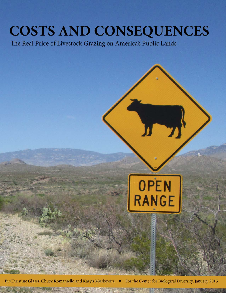# **COSTS AND CONSEQUENCES**

The Real Price of Livestock Grazing on America's Public Lands



By Christine Glaser, Chuck Romaniello and Karyn Moskowitz . For the Center for Biological Diversity, January 2015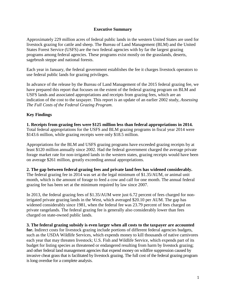## **Executive Summary**

Approximately 229 million acres of federal public lands in the western United States are used for livestock grazing for cattle and sheep. The Bureau of Land Management (BLM) and the United States Forest Service (USFS) are the two federal agencies with by far the largest grazing programs among federal agencies. These programs exist mostly on the grasslands, deserts, sagebrush steppe and national forests.

Each year in January, the federal government establishes the fee it charges livestock operators to use federal public lands for grazing privileges.

In advance of the release by the Bureau of Land Management of the 2015 federal grazing fee, we have prepared this report that focuses on the extent of the federal grazing program on BLM and USFS lands and associated appropriations and receipts from grazing fees, which are an indication of the cost to the taxpayer. This report is an update of an earlier 2002 study, *Assessing The Full Costs of the Federal Grazing Program*.

# **Key Findings**

**1. Receipts from grazing fees were \$125 million less than federal appropriations in 2014.** Total federal appropriations for the USFS and BLM grazing programs in fiscal year 2014 were \$143.6 million, while grazing receipts were only \$18.5 million.

Appropriations for the BLM and USFS grazing programs have exceeded grazing receipts by at least \$120 million annually since 2002. Had the federal government charged the average private forage market rate for non-irrigated lands in the western states, grazing receipts would have been on average \$261 million, greatly exceeding annual appropriations.

# **2. The gap between federal grazing fees and private land fees has widened considerably.**

The federal grazing fee in 2014 was set at the legal minimum of \$1.35/AUM, or animal unit month, which is the amount of forage to feed a cow and calf for one month. The annual federal grazing fee has been set at the minimum required by law since 2007.

In 2013, the federal grazing fees of \$1.35/AUM were just 6.72 percent of fees charged for nonirrigated private grazing lands in the West, which averaged \$20.10 per AUM. The gap has widened considerably since 1981, when the federal fee was 23.79 percent of fees charged on private rangelands. The federal grazing fee is generally also considerably lower than fees charged on state-owned public lands.

#### **3. The federal grazing subsidy is even larger when all costs to the taxpayer are accounted**

for. Indirect costs for livestock grazing include portions of different federal agencies budgets, such as the USDA Wildlife Services, which expends money to kill thousands of native carnivores each year that may threaten livestock; U.S. Fish and Wildlife Service, which expends part of its budget for listing species as threatened or endangered resulting from harm by livestock grazing; and other federal land management agencies that expend money on wildfire suppression caused by invasive cheat grass that is facilitated by livestock grazing. The full cost of the federal grazing program is long overdue for a complete analysis.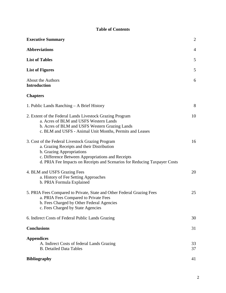# **Table of Contents**

| <b>Executive Summary</b>                                                                                                                                                                                                                                      | $\overline{2}$ |
|---------------------------------------------------------------------------------------------------------------------------------------------------------------------------------------------------------------------------------------------------------------|----------------|
| <b>Abbreviations</b>                                                                                                                                                                                                                                          | $\overline{4}$ |
| <b>List of Tables</b>                                                                                                                                                                                                                                         | 5              |
| <b>List of Figures</b>                                                                                                                                                                                                                                        | 5              |
| About the Authors<br><b>Introduction</b>                                                                                                                                                                                                                      | 6              |
| <b>Chapters</b>                                                                                                                                                                                                                                               |                |
| 1. Public Lands Ranching – A Brief History                                                                                                                                                                                                                    | 8              |
| 2. Extent of the Federal Lands Livestock Grazing Program<br>a. Acres of BLM and USFS Western Lands<br>b. Acres of BLM and USFS Western Grazing Lands<br>c. BLM and USFS - Animal Unit Months, Permits and Leases                                              | 10             |
| 3. Cost of the Federal Livestock Grazing Program<br>a. Grazing Receipts and their Distribution<br>b. Grazing Appropriations<br>c. Difference Between Appropriations and Receipts<br>d. PRIA Fee Impacts on Receipts and Scenarios for Reducing Taxpayer Costs | 16             |
| 4. BLM and USFS Grazing Fees<br>a. History of Fee Setting Approaches<br>b. PRIA Formula Explained                                                                                                                                                             | 20             |
| 5. PRIA Fees Compared to Private, State and Other Federal Grazing Fees<br>a. PRIA Fees Compared to Private Fees<br>b. Fees Charged by Other Federal Agencies<br>c. Fees Charged by State Agencies                                                             | 25             |
| 6. Indirect Costs of Federal Public Lands Grazing                                                                                                                                                                                                             | 30             |
| <b>Conclusions</b>                                                                                                                                                                                                                                            | 31             |
| <b>Appendices</b><br>A. Indirect Costs of federal Lands Grazing<br><b>B.</b> Detailed Data Tables                                                                                                                                                             | 33<br>37       |
| <b>Bibliography</b>                                                                                                                                                                                                                                           | 41             |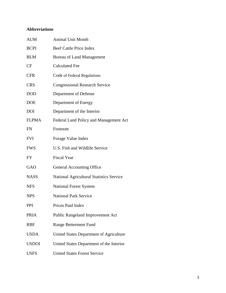# **Abbreviations**

| <b>AUM</b>   | <b>Animal Unit Month</b>                        |
|--------------|-------------------------------------------------|
| <b>BCPI</b>  | <b>Beef Cattle Price Index</b>                  |
| <b>BLM</b>   | <b>Bureau of Land Management</b>                |
| <b>CF</b>    | <b>Calculated Fee</b>                           |
| <b>CFR</b>   | Code of Federal Regulations                     |
| <b>CRS</b>   | <b>Congressional Research Service</b>           |
| DOD          | Department of Defense                           |
| DOE          | Department of Energy                            |
| DOI          | Department of the Interior                      |
| <b>FLPMA</b> | Federal Land Policy and Management Act          |
| FN           | Footnote                                        |
| FVI          | Forage Value Index                              |
| <b>FWS</b>   | U.S. Fish and Wildlife Service                  |
| FY           | <b>Fiscal Year</b>                              |
| <b>GAO</b>   | <b>General Accounting Office</b>                |
| <b>NASS</b>  | <b>National Agricultural Statistics Service</b> |
| <b>NFS</b>   | <b>National Forest System</b>                   |
| <b>NPS</b>   | <b>National Park Service</b>                    |
| PPI          |                                                 |
|              | Prices Paid Index                               |
| <b>PRIA</b>  | Public Rangeland Improvement Act                |
| RBF          | Range Betterment Fund                           |
| <b>USDA</b>  | United States Department of Agriculture         |
| <b>USDOI</b> | United States Department of the Interior        |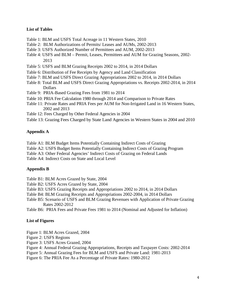#### **List of Tables**

- Table 1: BLM and USFS Total Acreage in 11 Western States, 2010
- Table 2: BLM Authorizations of Permits/ Leases and AUMs, 2002-2013
- Table 3: USFS Authorized Number of Permittees and AUM, 2002-2013
- Table 4: USFS and BLM Permit, Leases, Permittees and AUM for Grazing Seasons, 2002- 2013
- Table 5: USFS and BLM Grazing Receipts 2002 to 2014, in 2014 Dollars
- Table 6: Distribution of Fee Receipts by Agency and Land Classification
- Table 7: BLM and USFS Direct Grazing Appropriations 2002 to 2014, in 2014 Dollars
- Table 8: Total BLM and USFS Direct Grazing Appropriations vs. Receipts 2002-2014, in 2014 Dollars
- Table 9: PRIA-Based Grazing Fees from 1981 to 2014
- Table 10: PRIA Fee Calculation 1980 through 2014 and Comparison to Private Rates
- Table 11: Private Rates and PRIA Fees per AUM for Non-Irrigated Land in 16 Western States, 2002 and 2013
- Table 12: Fees Charged by Other Federal Agencies in 2004
- Table 13: Grazing Fees Charged by State Land Agencies in Western States in 2004 and 2010

#### **Appendix A**

Table A1: BLM Budget Items Potentially Containing Indirect Costs of Grazing

- Table A2: USFS Budget Items Potentially Containing Indirect Costs of Grazing Program
- Table A3: Other Federal Agencies' Indirect Costs of Grazing on Federal Lands

Table A4: Indirect Costs on State and Local Level

# **Appendix B**

Table B1: BLM Acres Grazed by State, 2004

- Table B2: USFS Acres Grazed by State, 2004
- Table B3: USFS Grazing Receipts and Appropriations 2002 to 2014, in 2014 Dollars
- Table B4: BLM Grazing Receipts and Appropriations 2002-2004, in 2014 Dollars
- Table B5: Scenario of USFS and BLM Grazing Revenues with Application of Private Grazing Rates 2002-2012
- Table B6: PRIA Fees and Private Fees 1981 to 2014 (Nominal and Adjusted for Inflation)

#### **List of Figures**

Figure 1: BLM Acres Grazed, 2004

- Figure 2: USFS Regions
- Figure 3: USFS Acres Grazed, 2004
- Figure 4: Annual Federal Grazing Appropriations, Receipts and Taxpayer Costs: 2002-2014
- Figure 5: Annual Grazing Fees for BLM and USFS and Private Land: 1981-2013
- Figure 6: The PRIA Fee As a Percentage of Private Rates: 1980-2012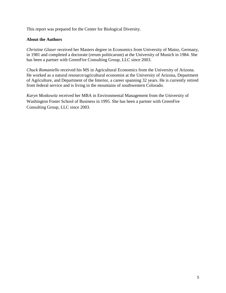This report was prepared for the Center for Biological Diversity.

## **About the Authors**

*Christine Glaser* received her Masters degree in Economics from University of Mainz, Germany, in 1981 and completed a doctorate (rerum politicarum) at the University of Munich in 1984. She has been a partner with GreenFire Consulting Group, LLC since 2003.

*Chuck Romaniello* received his MS in Agricultural Economics from the University of Arizona. He worked as a natural resource/agricultural economist at the University of Arizona, Department of Agriculture, and Department of the Interior, a career spanning 32 years. He is currently retired from federal service and is living in the mountains of southwestern Colorado.

*Karyn Moskowitz* received her MBA in Environmental Management from the University of Washington Foster School of Business in 1995. She has been a partner with GreenFire Consulting Group, LLC since 2003.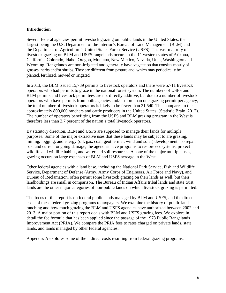#### **Introduction**

Several federal agencies permit livestock grazing on public lands in the United States, the largest being the U.S. Department of the Interior's Bureau of Land Management (BLM) and the Department of Agriculture's United States Forest Service (USFS). The vast majority of livestock grazing on BLM and USFS rangelands occurs in the 11 western states of Arizona, California, Colorado, Idaho, Oregon, Montana, New Mexico, Nevada, Utah, Washington and Wyoming. Rangelands are non-irrigated and generally have vegetation that consists mostly of grasses, herbs and/or shrubs. They are different from pastureland, which may periodically be planted, fertilized, mowed or irrigated.

In 2013, the BLM issued 15,739 permits to livestock operators and there were 5,711 livestock operators who had permits to graze in the national forest system. The numbers of USFS and BLM permits and livestock permittees are not directly additive, but due to a number of livestock operators who have permits from both agencies and/or more than one grazing permit per agency, the total number of livestock operators is likely to be fewer than 21,540. This compares to the approximately 800,000 ranchers and cattle producers in the United States. (Statistic Brain, 2012). The number of operators benefitting from the USFS and BLM grazing program in the West is therefore less than 2.7 percent of the nation's total livestock operators.

By statutory direction, BLM and USFS are supposed to manage their lands for multiple purposes. Some of the major extractive uses that these lands may be subject to are grazing, mining, logging, and energy (oil, gas, coal, geothermal, wind and solar) development. To repair past and current ongoing damage, the agencies have programs to restore ecosystems, protect wildlife and wildlife habitat, and water and soil resources. As one of the major multiple uses, grazing occurs on large expanses of BLM and USFS acreage in the West.

Other federal agencies with a land base, including the National Park Service, Fish and Wildlife Service, Department of Defense (Army, Army Corps of Engineers, Air Force and Navy), and Bureau of Reclamation, often permit some livestock grazing on their lands as well, but their landholdings are small in comparison. The Bureau of Indian Affairs tribal lands and state trust lands are the other major categories of non-public lands on which livestock grazing is permitted.

The focus of this report is on federal public lands managed by BLM and USFS, and the direct costs of these federal grazing programs to taxpayers. We examine the history of public lands ranching and how much grazing the BLM and USFS agencies have authorized between 2002 and 2013. A major portion of this report deals with BLM and USFS grazing fees. We explore in detail the fee formula that has been applied since the passage of the 1978 Public Rangelands Improvement Act (PRIA). We compare the PRIA fees to rates charged on private lands, state lands, and lands managed by other federal agencies.

Appendix A explores some of the indirect costs resulting from federal grazing programs.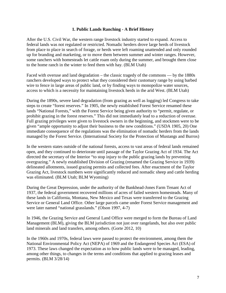#### **1. Public Lands Ranching - A Brief History**

After the U.S. Civil War, the western range livestock industry started to expand. Access to federal lands was not regulated or restricted. Nomadic herders drove large herds of livestock from place to place in search of forage, or herds were left roaming unattended and only rounded up for branding and marketing, or to move them between summer and winter ranges. However, some ranchers with homesteads let cattle roam only during the summer, and brought them close to the home ranch in the winter to feed them with hay. (BLM Utah)

Faced with overuse and land degradation – the classic tragedy of the commons — by the 1880s ranchers developed ways to protect what they considered their customary range by using barbed wire to fence in large areas of public land, or by finding ways to monopolize water sources, access to which is a necessity for maintaining livestock herds in the arid West. (BLM Utah)

During the 1890s, severe land degradation (from grazing as well as logging) led Congress to take steps to create "forest reserves." In 1905, the newly established Forest Service renamed these lands "National Forests," with the Forest Service being given authority to "permit, regulate, or prohibit grazing in the forest reserves." This did not immediately lead to a reduction of overuse. Full grazing privileges were given to livestock owners in the beginning, and stockmen were to be given "ample opportunity to adjust their business to the new conditions." (USDA 1905, 20) One immediate consequence of the regulations was the elimination of nomadic herders from the lands managed by the Forest Service. (International Society for the Protection of Mustangs and Burros)

In the western states outside of the national forests, access to vast areas of federal lands remained open, and they continued to deteriorate until passage of the Taylor Grazing Act of 1934. The Act directed the secretary of the Interior "to stop injury to the public grazing lands by preventing overgrazing." A newly established Division of Grazing (renamed the Grazing Service in 1939) delineated allotments, issued grazing permits and collected fees. After enactment of the Taylor Grazing Act, livestock numbers were significantly reduced and nomadic sheep and cattle herding was eliminated. (BLM Utah; BLM Wyoming)

During the Great Depression, under the authority of the Bankhead-Jones Farm Tenant Act of 1937, the federal government recovered millions of acres of failed western homesteads. Many of these lands in California, Montana, New Mexico and Texas were transferred to the Grazing Service or General Land Office. Other large parcels came under Forest Service management and were later named "national grasslands." (Olson 1997, 4-7)

In 1946, the Grazing Service and General Land Office were merged to form the Bureau of Land Management (BLM), giving the BLM jurisdiction not just over rangelands, but also over public land minerals and land transfers, among others. (Gorte 2012, 10)

In the 1960s and 1970s, federal laws were passed to protect the environment, among them the National Environmental Policy Act (NEPA) of 1969 and the Endangered Species Act (ESA) of 1973. These laws changed the expectation as to how public lands were to be managed, leading, among other things, to changes in the terms and conditions that applied to grazing leases and permits. (BLM 3/28/14)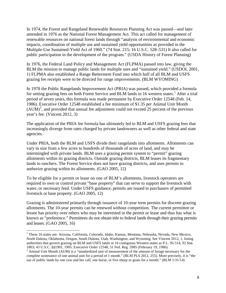In 1974, the Forest and Rangeland Renewable Resources Planning Act was passed—and later amended in 1976 as the National Forest Management Act. This act called for management of renewable resources on national forest lands through "analysis of environmental and economic impacts, coordination of multiple use and sustained yield opportunities as provided in the Multiple-Use Sustained-Yield Act of 1960." (74 Stat. 215; 16 U.S.C. 528–531) It also called for public participation in the development of the program." (USDA History of Forest Planning)

In 1976, the Federal Land Policy and Management Act (FLPMA) passed into law, giving the BLM the mission to manage public lands for multiple uses and "sustained yield." (USDOI, 2001, 1) FLPMA also established a Range Betterment Fund into which half of all BLM and USFS grazing fee receipts were to be directed for range improvements. (BLM WYOMING)

In 1978 the Public Rangelands Improvement Act (PRIA) was passed, which provided a formula for setting grazing fees on both Forest Service and BLM lands in [1](#page-8-0)6 western states.<sup>1</sup> After a trial period of seven years, this formula was made permanent by Executive Order 12548 (Feb. 14, 1986). Executive Order 12548 established a fee minimum of \$1.35 per Animal Unit Month  $(AUM)^2$  $(AUM)^2$ , and provided that annual fee adjustment could not exceed 25 percent of the previous year's fee. (Vincent 2012, 3)

The application of the PRIA fee formula has ultimately led to BLM and USFS grazing fees that increasingly diverge from rates charged by private landowners as well as other federal and state agencies.

Under PRIA, both the BLM and USFS divide their rangelands into allotments. Allotments can vary in size from a few acres to hundreds of thousands of acres of land, and may be intermingled with private lands. BLM uses a grazing permit system to "permit" grazing allotments within its grazing districts. Outside grazing districts, BLM leases its fragmentary lands to ranchers. The Forest Service does not have grazing districts, and uses permits to authorize grazing within its allotments. (GAO 2005, 12)

To be eligible for a permit or lease on one of BLM's allotments, livestock operators are required to own or control private "base property" that can serve to support the livestock with water, or necessary feed. Under USFS guidance, permits are issued to purchasers of permitted livestock or base property. (GAO 2005, 12)

Grazing is administered primarily through issuance of 10-year term permits for discrete grazing allotments. The 10-year permits can be renewed without competition. The current permittee or lessee has priority over others who may be interested in the permit or lease and thus has what is known as "preference." Permittees do not obtain title to federal lands through their grazing permits and leases. (GAO 2005, 16)

<sup>&</sup>lt;sup>1</sup> These 16 states are: Arizona, California, Colorado, Idaho, Kansas, Montana, Nebraska, Nevada, New Mexico, North Dakota, Oklahoma, Oregon, South Dakota, Utah, Washington, and Wyoming. See Vincent 2012, 1, listing authorities that govern grazing on BLM and USFS lands in 16 contiguous Western states as P.L. 95-514, 92 Stat.<br>1803; 43 U.S.C. §§1901, 1905. Executive Order 12548, 51 Fed. Reg. 5985 (February 19, 1986).

<span id="page-8-1"></span><span id="page-8-0"></span> $3$  Animal Unit Month (AUM) is a "standardized unit of measurement of the amount of forage necessary for the complete sustenance of one animal unit for a period of 1 month." (BLM PLS 2012, 255). More precisely, it is "the use of public lands by one cow and her calf, one horse, or five sheep or goats for a month." (BLM 1/31/14)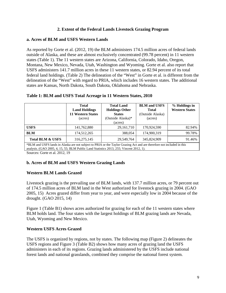# **2. Extent of the Federal Lands Livestock Grazing Program**

# **a. Acres of BLM and USFS Western Lands**

As reported by Gorte et al. (2012, 19) the BLM administers 174.5 million acres of federal lands outside of Alaska, and these are almost exclusively concentrated (99.78 percent) in 11 western states (Table 1). The 11 western states are Arizona, California, Colorado, Idaho, Oregon, Montana, New Mexico, Nevada, Utah, Washington and Wyoming. Gorte et al. also report that USFS administers 141.7 million acres in these 11 western states, or 82.94 percent of its total federal land holdings. (Table 2) The delineation of the "West" in Gorte et al. is different from the delineation of the "West" with regard to PRIA, which includes 16 western states. The additional states are Kansas, North Dakota, South Dakota, Oklahoma and Nebraska.

| Table 1: BLM and USFS Total Acreage in 11 Western States, 2010 |
|----------------------------------------------------------------|
|----------------------------------------------------------------|

|                                                                                                                                                                                                                   | Total<br><b>Land Holdings</b><br><b>11 Western States</b><br>(acres) | <b>Total Land</b><br><b>Holdings Other</b><br><b>States</b><br>(Outside Alaska)*<br>(acres) | <b>BLM</b> and USFS<br><b>Total</b><br>(Outside Alaska)<br>(acres) | % Holdings in<br><b>Western States</b> |  |
|-------------------------------------------------------------------------------------------------------------------------------------------------------------------------------------------------------------------|----------------------------------------------------------------------|---------------------------------------------------------------------------------------------|--------------------------------------------------------------------|----------------------------------------|--|
| <b>USFS</b>                                                                                                                                                                                                       | 141,762,880                                                          | 29, 161, 710                                                                                | 170,924,590                                                        | 82.94%                                 |  |
| <b>BLM</b>                                                                                                                                                                                                        | 174,512,265                                                          | 388,054                                                                                     | 174,900,319                                                        | 99.78%                                 |  |
| <b>Total BLM &amp; USFS</b>                                                                                                                                                                                       | 316, 275, 145                                                        | 29,549,764                                                                                  | 345,824,909                                                        | 91.46%                                 |  |
| *BLM and USFS lands in Alaska are not subject to PRIA or the Taylor Grazing Act and are therefore not included in this<br>analysis. (GAO 2005, 4, 15, 55; BLM Public Land Statistics 2013, 255; Vincent 2012, 1). |                                                                      |                                                                                             |                                                                    |                                        |  |

Sources: Gorte et al. 2012, 19

# **b. Acres of BLM and USFS Western Grazing Lands**

# **Western BLM Lands Grazed**

Livestock grazing is the prevailing use of BLM lands, with 137.7 million acres, or 79 percent out of 174.5 million acres of BLM land in the West authorized for livestock grazing in 2004. (GAO 2005, 15) Acres grazed differ from year to year, and were especially low in 2004 because of the drought. (GAO 2015, 14)

Figure 1 (Table B1) shows acres authorized for grazing for each of the 11 western states where BLM holds land. The four states with the largest holdings of BLM grazing lands are Nevada, Utah, Wyoming and New Mexico.

# **Western USFS Acres Grazed**

The USFS is organized by regions, not by states. The following map (Figure 2) delineates the USFS regions and Figure 3 (Table B2) shows how many acres of grazing land the USFS administers in each of its regions. Grazing lands administered by the USFS include national forest lands and national grasslands, combined they comprise the national forest system.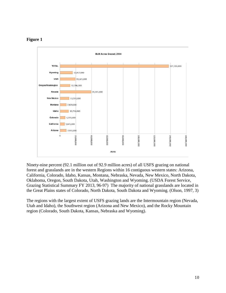# **Figure 1**



Ninety-nine percent (92.1 million out of 92.9 million acres) of all USFS grazing on national forest and grasslands are in the western Regions within 16 contiguous western states: Arizona, California, Colorado, Idaho, Kansas, Montana, Nebraska, Nevada, New Mexico, North Dakota, Oklahoma, Oregon, South Dakota, Utah, Washington and Wyoming. (USDA Forest Service, Grazing Statistical Summary FY 2013, 96-97) The majority of national grasslands are located in the Great Plains states of Colorado, North Dakota, South Dakota and Wyoming. (Olson, 1997, 3)

The regions with the largest extent of USFS grazing lands are the Intermountain region (Nevada, Utah and Idaho), the Southwest region (Arizona and New Mexico), and the Rocky Mountain region (Colorado, South Dakota, Kansas, Nebraska and Wyoming).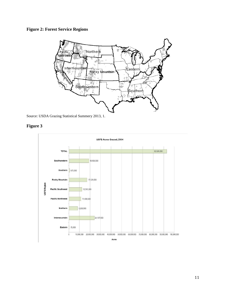# **Figure 2: Forest Service Regions**



Source: USDA Grazing Statistical Summery 2013, 1.



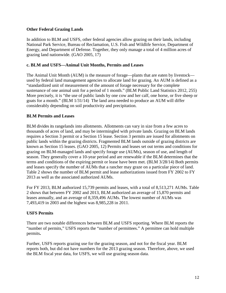# **Other Federal Grazing Lands**

In addition to BLM and USFS, other federal agencies allow grazing on their lands, including National Park Service, Bureau of Reclamation, U.S. Fish and Wildlife Service, Department of Energy, and Department of Defense. Together, they only manage a total of 4 million acres of grazing land nationwide. (GAO 2005, 17)

# **c. BLM and USFS—Animal Unit Months, Permits and Leases**

The Animal Unit Month (AUM) is the measure of forage—plants that are eaten by livestock used by federal land management agencies to allocate land for grazing. An AUM is defined as a "standardized unit of measurement of the amount of forage necessary for the complete sustenance of one animal unit for a period of 1 month." (BLM Public Land Statistics 2012, 255) More precisely, it is "the use of public lands by one cow and her calf, one horse, or five sheep or goats for a month." (BLM 1/31/14) The land area needed to produce an AUM will differ considerably depending on soil productivity and precipitation.

# **BLM Permits and Leases**

BLM divides its rangelands into allotments. Allotments can vary in size from a few acres to thousands of acres of land, and may be intermingled with private lands. Grazing on BLM lands requires a Section 3 permit or a Section 15 lease. Section 3 permits are issued for allotments on public lands within the grazing districts. Fragmented BLM lands outside of grazing districts are known as Section 15 leases. (GAO 2005, 12) Permits and leases set out terms and conditions for grazing on BLM-managed lands and specify forage use (AUMs), season of use, and length of season. They generally cover a 10-year period and are renewable if the BLM determines that the terms and conditions of the expiring permit or lease have been met. (BLM 3/28/14) Both permits and leases specify the number of AUMs that a rancher may graze on a particular piece of land. Table 2 shows the number of BLM permit and lease authorizations issued from FY 2002 to FY 2013 as well as the associated authorized AUMs.

For FY 2013, BLM authorized 15,739 permits and leases, with a total of 8,513,271 AUMs. Table 2 shows that between FY 2002 and 2013, BLM authorized an average of 15,870 permits and leases annually, and an average of 8,359,496 AUMs. The lowest number of AUMs was 7,493,419 in 2003 and the highest was 8,985,228 in 2011.

# **USFS Permits**

There are two notable differences between BLM and USFS reporting. Where BLM reports the "number of permits," USFS reports the "number of permittees." A permittee can hold multiple permits**.** 

Further, USFS reports grazing use for the grazing season, and not for the fiscal year. BLM reports both, but did not have numbers for the 2013 grazing season. Therefore, above, we used the BLM fiscal year data, for USFS, we will use grazing season data.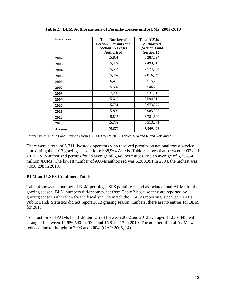| <b>Fiscal Year</b> | <b>Total Number of</b><br><b>Section 3 Permits and</b><br><b>Section 15 Leases</b><br>Authorized | <b>Total AUMs</b><br><b>Authorized</b><br>(Section 3 and<br>Section 15) |
|--------------------|--------------------------------------------------------------------------------------------------|-------------------------------------------------------------------------|
| 2002               | 15,851                                                                                           | 8,287,394                                                               |
| 2003               | 15,472                                                                                           | 7,493,419                                                               |
| 2004               | 15,544                                                                                           | 7,574,004                                                               |
| 2005               | 15,462                                                                                           | 7,816,949                                                               |
| 2006               | 16,416                                                                                           | 8,515,292                                                               |
| 2007               | 15,587                                                                                           | 8,546,253                                                               |
| 2008               | 17,292                                                                                           | 8,531,813                                                               |
| 2009               | 15,612                                                                                           | 8,594,912                                                               |
| 2010               | 15,751                                                                                           | 8,673,822                                                               |
| 2011               | 15,897                                                                                           | 8,985,228                                                               |
| 2012               | 15,815                                                                                           | 8,781,600                                                               |
| 2013               | 15,739                                                                                           | 8,513,271                                                               |
| <i>Average</i>     | 15,870                                                                                           | 8,359,496                                                               |

**Table 2: BLM Authorizations of Permits/ Leases and AUMs, 2002-2013**

Source: BLM Public Land Statistics from FY 2003 to FY 2013, Tables 3-7a and b, and 3-8a and b.

There were a total of 5,711 livestock operators who received permits on national forest service land during the 2013 grazing season, for 6,388,964 AUMs. Table 3 shows that between 2002 and 2013 USFS authorized permits for an average of 5,940 permittees, and an average of 6,335,542 million AUMs. The lowest number of AUMs authorized was 5,288,091 in 2004, the highest was 7,056,298 in 2010.

# **BLM and USFS Combined Totals**

Table 4 shows the number of BLM permits, USFS permittees, and associated total AUMs for the grazing season. BLM numbers differ somewhat from Table 2 because they are reported by grazing season rather than for the fiscal year, to match the USFS's reporting. Because BLM's Public Lands Statistics did not report 2013 grazing season numbers, there are no entries for BLM for 2013.

Total authorized AUMs for BLM and USFS between 2002 and 2012 averaged 14,639,848, with a range of between 12,656,540 in 2004 and 15,819,413 in 2010. The number of total AUMs was reduced due to drought in 2003 and 2004. (GAO 2005, 14)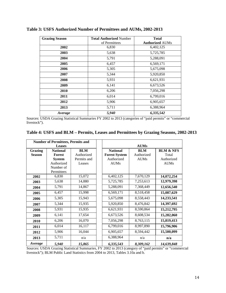| <b>Grazing Season</b> | <b>Total Authorized Number</b> | <b>Total</b>           |
|-----------------------|--------------------------------|------------------------|
|                       | of Permittees                  | <b>Authorized AUMs</b> |
| 2002                  | 6,830                          | 6,402,125              |
| 2003                  | 5,638                          | 5,725,785              |
| 2004                  | 5,791                          | 5,288,091              |
| 2005                  | 6,457                          | 6,569,171              |
| 2006                  | 5,305                          | 5,675,098              |
| 2007                  | 5,344                          | 5,920,850              |
| 2008                  | 5,931                          | 6,621,931              |
| 2009                  | 6,141                          | 6,673,526              |
| 2010                  | 6,206                          | 7,056,298              |
| 2011                  | 6,014                          | 6,799,016              |
| 2012                  | 5,906                          | 6,905,657              |
| 2013                  | 5,711                          | 6,388,964              |
| Average               | 5,940                          | 6,335,542              |

**Table 3: USFS Authorized Number of Permittees and AUMs, 2002-2013**

Sources: USDA Grazing Statistical Summaries FY 2002 to 2013 (categories of "paid permits" or "commercial livestock").

| Table 4: USFS and BLM - Permits, Leases and Permittees by Grazing Seasons, 2002-2013 |  |  |  |  |
|--------------------------------------------------------------------------------------|--|--|--|--|
|--------------------------------------------------------------------------------------|--|--|--|--|

|               | <b>Number of Permittees, Permits and</b> |             |                      |             |                      |
|---------------|------------------------------------------|-------------|----------------------|-------------|----------------------|
|               | <b>Leases</b>                            |             |                      | <b>AUMs</b> |                      |
| Grazing       | <b>National</b>                          | <b>BLM</b>  | <b>National</b>      | <b>BLM</b>  | <b>BLM &amp; NFS</b> |
| <b>Season</b> | <b>Forest</b>                            | Authorized  | <b>Forest System</b> | Authorized  | Total                |
|               | <b>System</b>                            | Permits and | Authorized           | <b>AUMs</b> | Authorized           |
|               | Authorized                               | Leases      | <b>AUMs</b>          |             | <b>AUMs</b>          |
|               | Number of                                |             |                      |             |                      |
|               | Permittees                               |             |                      |             |                      |
| 2002          | 6,830                                    | 15,072      | 6,402,125            | 7,670,129   | 14,072,254           |
| 2003          | 5,638                                    | 14,880      | 5,725,785            | 7,253,613   | 12,979,398           |
| 2004          | 5,791                                    | 14,867      | 5,288,091            | 7,368,449   | 12,656,540           |
| 2005          | 6,457                                    | 15,998      | 6,569,171            | 8,518,458   | 15,087,629           |
| 2006          | 5,305                                    | 15,943      | 5,675,098            | 8,558,443   | 14,233,541           |
| 2007          | 5,344                                    | 15,935      | 5,920,850            | 8,476,842   | 14,397,692           |
| 2008          | 5,931                                    | 15,935      | 6,621,931            | 8,590,864   | 15,212,795           |
| 2009          | 6,141                                    | 17,654      | 6,673,526            | 8,608,534   | 15,282,060           |
| 2010          | 6,206                                    | 16,070      | 7,056,298            | 8,763,115   | 15,819,413           |
| 2011          | 6,014                                    | 16,117      | 6,799,016            | 8,997,890   | 15,796,906           |
| 2012          | 5,906                                    | 16,044      | 6,905,657            | 8,594,442   | 15,500,099           |
| 2013          | 5,711                                    | n/a         | 6,388,964            | n/a         | n/a                  |
| Average       | 5,940                                    | 15,865      | 6,335,543            | 8,309,162   | 14,639,848           |

Sources: USDA Grazing Statistical Summaries, FY 2002 to 2013 (category of "paid permits" or "commercial livestock"); BLM Public Land Statistics from 2004 to 2013, Tables 3.10a and b.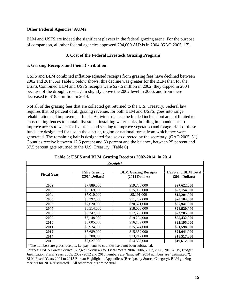# **Other Federal Agencies' AUMs**

BLM and USFS are indeed the significant players in the federal grazing arena. For the purpose of comparison, all other federal agencies approved 794,000 AUMs in 2004 (GAO 2005, 17).

# **3. Cost of the Federal Livestock Grazing Program**

# **a. Grazing Receipts and their Distribution**

USFS and BLM combined inflation-adjusted receipts from grazing fees have declined between 2002 and 2014. As Table 5 below shows, this decline was greater for the BLM than for the USFS. Combined BLM and USFS receipts were \$27.6 million in 2002; they dipped in 2004 because of the drought, rose again slightly above the 2002 level in 2006, and from there decreased to \$18.5 million in 2014.

Not all of the grazing fees that are collected get returned to the U.S. Treasury. Federal law requires that 50 percent of all grazing revenue, for both BLM and USFS, goes into range rehabilitation and improvement funds. Activities that can be funded include, but are not limited to, constructing fences to contain livestock, installing water tanks, building impoundments to improve access to water for livestock, and seeding to improve vegetation and forage. Half of these funds are designated for use in the district, region or national forest from which they were generated. The remaining half is designated for use as directed by the secretary. (GAO 2005, 31) Counties receive between 12.5 percent and 50 percent and the balance, between 25 percent and 37.5 percent gets returned to the U.S. Treasury. (Table 6)

|                                         | Receipts*                                     |                                                                                      |  |  |  |  |
|-----------------------------------------|-----------------------------------------------|--------------------------------------------------------------------------------------|--|--|--|--|
| <b>USFS Grazing</b><br>$(2014$ Dollars) | <b>BLM Grazing Receipts</b><br>(2014 Dollars) | <b>USFS and BLM Total</b><br>$(2014$ Dollars)                                        |  |  |  |  |
| \$7,889,000                             | \$19,733,000                                  | \$27,622,000                                                                         |  |  |  |  |
| \$6,169,000                             | \$15,985,000                                  | \$22,154,000                                                                         |  |  |  |  |
| \$7,010,000                             | \$8,191,000                                   | \$15,201,000                                                                         |  |  |  |  |
| \$8,397,000                             | \$11,787,000                                  | \$20,184,000                                                                         |  |  |  |  |
| \$7,620,000                             | \$20,321,000                                  | \$27,941,000                                                                         |  |  |  |  |
| \$6,514,000                             | \$18,006,000                                  | \$24,520,000                                                                         |  |  |  |  |
| \$6,247,000                             | \$17,538,000                                  | \$23,785,000                                                                         |  |  |  |  |
| \$6,148,000                             | \$19,284,000                                  | \$25,432,000                                                                         |  |  |  |  |
| \$6,005,000                             | \$16,189,000                                  | \$22,195,000                                                                         |  |  |  |  |
| \$5,974,000                             | \$15,624,000                                  | \$21,598,000                                                                         |  |  |  |  |
| \$5,689,000                             | \$15,352,000                                  | \$21,041,000                                                                         |  |  |  |  |
| \$5,300,000                             | \$13,217,000                                  | \$18,517,000                                                                         |  |  |  |  |
| \$5,027,000                             | \$14,585,000                                  | \$19,612,000                                                                         |  |  |  |  |
|                                         |                                               | *The numbers are gross receipts, i.e. payments to counties have not been subtracted. |  |  |  |  |

**Table 5: USFS and BLM Grazing Receipts 2002-2014, in 2014**

Sources: USDA Forest Service, Budget Overviews for Fiscal Years 2004, 2006, 2007, 2008, 2010-2015, Budget Justification Fiscal Years 2005, 2009 (2012 and 2013 numbers are "Enacted"; 2014 numbers are "Estimated."); BLM Fiscal Years 2004 to 2015 Bureau Highlights - Appendices (Receipts by Source Category). BLM grazing receipts for 2014 "Estimated." All other receipts are "Actual."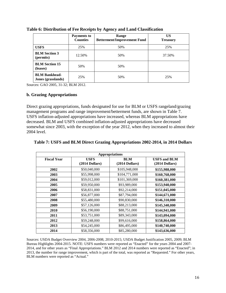|                                            | <b>Payments to</b><br><b>Counties</b> | <b>Range</b><br><b>Betterment/Improvement Fund</b> | US<br><b>Treasury</b> |
|--------------------------------------------|---------------------------------------|----------------------------------------------------|-----------------------|
| <b>USFS</b>                                | 25%                                   | 50%                                                | 25%                   |
| <b>BLM</b> Section 3<br>(permits)          | 12.50%                                | 50%                                                | 37.50%                |
| <b>BLM</b> Section 15<br>(leases)          | 50%                                   | 50%                                                |                       |
| <b>BLM Bankhead-</b><br>Jones (grasslands) | 25%                                   | 50%                                                | 25%                   |

**Table 6: Distribution of Fee Receipts by Agency and Land Classification**

Sources: GAO 2005, 31-32; BLM 2012.

#### **b. Grazing Appropriations**

Direct grazing appropriations, funds designated for use for BLM or USFS rangeland/grazing management programs and range improvement/betterment funds, are shown in Table 7. USFS inflation-adjusted appropriations have increased, whereas BLM appropriations have decreased. BLM and USFS combined inflation-adjusted appropriations have decreased somewhat since 2003, with the exception of the year 2012, when they increased to almost their 2004 level.

|                    | <b>Appropriations</b>           |                                |                                         |  |  |  |
|--------------------|---------------------------------|--------------------------------|-----------------------------------------|--|--|--|
| <b>Fiscal Year</b> | <b>USFS</b><br>$(2014$ Dollars) | <b>BLM</b><br>$(2014$ Dollars) | <b>USFS and BLM</b><br>$(2014$ Dollars) |  |  |  |
| 2002               | \$50,040,000                    | \$105,948,000                  | \$155,988,000                           |  |  |  |
| 2003               | \$55,998,000                    | \$104,771,000                  | \$160,768,000                           |  |  |  |
| 2004               | \$59,012,000                    | \$101,369,000                  | \$160,381,000                           |  |  |  |
| 2005               | \$59,950,000                    | \$93,989,000                   | \$153,940,000                           |  |  |  |
| 2006               | \$58,831,000                    | \$92,214,000                   | \$151,045,000                           |  |  |  |
| 2007               | \$56,877,000                    | \$87,794,000                   | \$144,671,000                           |  |  |  |
| 2008               | \$55,480,000                    | \$90,830,000                   | \$146,310,000                           |  |  |  |
| 2009               | \$57,126,000                    | \$88,213,000                   | \$145,340,000                           |  |  |  |
| 2010               | \$56,190,000                    | \$88,751,000                   | \$144,941,000                           |  |  |  |
| 2011               | \$53,751,000                    | \$89,343,000                   | \$143,094,000                           |  |  |  |
| 2012               | \$59,248,000                    | \$99,616,000                   | \$158,864,000                           |  |  |  |
| 2013               | \$54,245,000                    | \$86,495,000                   | \$140,740,000                           |  |  |  |
| 2014               | \$58,356,000                    | \$85,280,000                   | \$143,636,000                           |  |  |  |

#### **Table 7: USFS and BLM Direct Grazing Appropriations 2002-2014, in 2014 Dollars**

Sources: USDA Budget Overview 2004, 2006-2008, 2010-2015; USDA Budget Justification 2005, 2009; BLM Bureau Highlights 2004-2015. NOTE: USFS numbers were reported as "Enacted" for the years 2004 and 2007- 2014, and for other years as "Final Appropriations." BLM 2012 and 2014 numbers were reported as "Enacted"; in 2013, the number for range improvement, which is part of the total, was reported as "Requested." For other years, BLM numbers were reported as "Actual."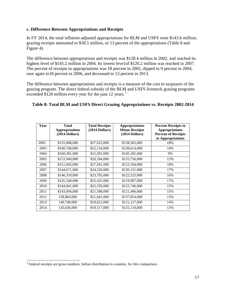## **c. Difference Between Appropriations and Receipts**

In FY 2014, the total inflation-adjusted appropriations for BLM and USFS were \$143.6 million; grazing receipts amounted to \$18.5 million, or 13 percent of the appropriations (Table 8 and Figure 4).

The difference between appropriations and receipts was \$128.4 million in 2002, and reached its highest level of \$145.2 million in 2004. Its lowest leve1of \$120.2 million was reached in 2007. The percent of receipts to appropriations was 18 percent in 2002, dipped to 9 percent in 2004, rose again to18 percent in 2006, and decreased to 13 percent in 2013.

The difference between appropriations and receipts is a measure of the cost to taxpayers of the grazing program. The direct federal subsidy of the BLM and USFS livestock grazing programs exceeded \$120 million every year for the past 12 years.<sup>[3](#page-17-0)</sup>

#### **Table 8: Total BLM and USFS Direct Grazing Appropriations vs. Receipts 2002-2014**

| Year | Total<br><b>Appropriations</b><br>$(2014$ Dollars) | <b>Total Receipts</b><br>$(2014$ Dollars) | <b>Appropriations</b><br><b>Minus Receipts</b><br>$(2014$ Dollars) | <b>Percent Receipts to</b><br><b>Appropriations</b><br><b>Percent of Receipts</b><br>to Appropriations |
|------|----------------------------------------------------|-------------------------------------------|--------------------------------------------------------------------|--------------------------------------------------------------------------------------------------------|
| 2002 | \$155,988,000                                      | \$27,622,000                              | \$128,365,000                                                      | 18%                                                                                                    |
| 2003 | \$160,768,000                                      | \$22,154,000                              | \$138,614,000                                                      | 14%                                                                                                    |
| 2004 | \$160,381,000                                      | \$15,201,000                              | \$145,181,000                                                      | 9%                                                                                                     |
| 2005 | \$153,940,000                                      | \$20,184,000                              | \$133,756,000                                                      | 13%                                                                                                    |
| 2006 | \$151,045,000                                      | \$27,941,000                              | \$123,104,000                                                      | 18%                                                                                                    |
| 2007 | \$144,671,000                                      | \$24,520,000                              | \$120,151,000                                                      | 17%                                                                                                    |
| 2008 | \$146,310,000                                      | \$23,785,000                              | \$122,525,000                                                      | 16%                                                                                                    |
| 2009 | \$145,340,000                                      | \$25,432,000                              | \$119,907,000                                                      | 17%                                                                                                    |
| 2010 | \$144,941,000                                      | \$22,195,000                              | \$122,746,000                                                      | 15%                                                                                                    |
| 2011 | \$143,094,000                                      | \$21,598,000                              | \$121,496,000                                                      | 15%                                                                                                    |
| 2012 | 158,864,000                                        | \$21,041,000                              | \$137,824,000                                                      | 13%                                                                                                    |
| 2013 | 140,740,000                                        | \$19,612,000                              | \$121,127,000                                                      | 14%                                                                                                    |
| 2014 | 143,636,000                                        | \$18,517,000                              | \$125,119,000                                                      | 13%                                                                                                    |

<span id="page-17-0"></span><sup>&</sup>lt;sup>3</sup> Federal receipts are gross numbers, before distribution to counties, for this comparison.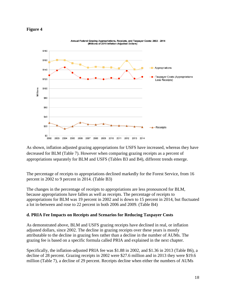#### **Figure 4**



As shown, inflation adjusted grazing appropriations for USFS have increased, whereas they have decreased for BLM (Table 7). However when comparing grazing receipts as a percent of appropriations separately for BLM and USFS (Tables B3 and B4), different trends emerge.

The percentage of receipts to appropriations declined markedly for the Forest Service, from 16 percent in 2002 to 9 percent in 2014. (Table B3)

The changes in the percentage of receipts to appropriations are less pronounced for BLM, because appropriations have fallen as well as receipts. The percentage of receipts to appropriations for BLM was 19 percent in 2002 and is down to 15 percent in 2014, but fluctuated a lot in-between and rose to 22 percent in both 2006 and 2009. (Table B4)

# **d. PRIA Fee Impacts on Receipts and Scenarios for Reducing Taxpayer Costs**

As demonstrated above, BLM and USFS grazing receipts have declined in real, or inflation adjusted dollars, since 2002. The decline in grazing receipts over these years is mostly attributable to the decline in grazing fees rather than a decline in the number of AUMs. The grazing fee is based on a specific formula called PRIA and explained in the next chapter.

Specifically, the inflation-adjusted PRIA fee was \$1.88 in 2002, and \$1.36 in 2013 (Table B6), a decline of 28 percent. Grazing receipts in 2002 were \$27.6 million and in 2013 they were \$19.6 million (Table 7), a decline of 29 percent. Receipts decline when either the numbers of AUMs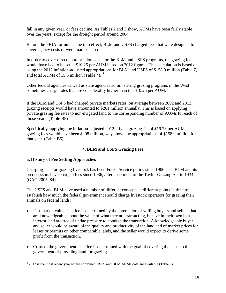fall in any given year, or fees decline. As Tables 2 and 3 show, AUMs have been fairly stable over the years, except for the drought period around 2004.

Before the PRIA formula came into effect, BLM and USFS charged fees that were designed to cover agency costs or were market-based.

In order to cover direct appropriation costs for the BLM and USFS programs, the grazing fee would have had to be set at \$10.25 per AUM based on 2012 figures. This calculation is based on using the 2012 inflation-adjusted appropriations for BLM and USFS of \$158.9 million (Table 7), and total AUMs of 15.5 million (Table [4](#page-19-0)).  $4\overline{ }$ 

Other federal agencies as well as state agencies administering grazing programs in the West sometimes charge rates that are considerably higher than the \$10.25 per AUM.

If the BLM and USFS had charged private markets rates, on average between 2002 and 2012, grazing receipts would have amounted to \$261 million annually. This is based on applying private grazing fee rates to non-irrigated land to the corresponding number of AUMs for each of those years. (Table B5)

Specifically, applying the inflation-adjusted 2012 private grazing fee of \$19.23 per AUM, grazing fees would have been \$298 million, way above the appropriations of \$158.9 million for that year. (Table B5)

# **4. BLM and USFS Grazing Fees**

# **a. History of Fee Setting Approaches**

Charging fees for grazing livestock has been Forest Service policy since 1906. The BLM and its predecessors have charged fees since 1936, after enactment of the Taylor Grazing Act in 1934. (GAO 2005, 84)

The USFS and BLM have used a number of different concepts at different points in time to establish how much the federal government should charge livestock operators for grazing their animals on federal lands:

- Fair market value: The fee is determined by the interaction of willing buyers and sellers that are knowledgeable about the value of what they are transacting, behave in their own best interest, and are free of undue pressure to conduct the transaction. A knowledgeable buyer and seller would be aware of the quality and productivity of the land and of market prices for leases or permits on other comparable lands, and the seller would expect to derive some profit from the transaction.
- Costs to the government: The fee is determined with the goal of covering the costs to the government of providing land for grazing.

<span id="page-19-0"></span><sup>&</sup>lt;sup>4</sup> 2012 is the most recent year where combined USFS and BLM AUMs data are available (Table 6).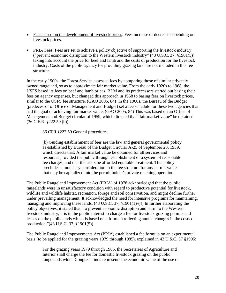- Fees based on the development of livestock prices: Fees increase or decrease depending on livestock prices.
- PRIA Fees: Fees are set to achieve a policy objective of supporting the livestock industry ("prevent economic disruption to the Western livestock industry"  $(43 \text{ U.S.C. } 37, \text{§}1901(5))$ , taking into account the price for beef and lamb and the costs of production for the livestock industry. Costs of the public agency for providing grazing land are not included in this fee structure.

In the early 1900s, the Forest Service assessed fees by comparing those of similar privately owned rangeland, so as to approximate fair market value. From the early 1920s to 1968, the USFS based its fees on beef and lamb prices. BLM and its predecessors started out basing their fees on agency expenses, but changed this approach in 1958 to basing fees on livestock prices, similar to the USFS fee structure. (GAO 2005, 84) In the 1960s, the Bureau of the Budget (predecessor of Office of Management and Budget) set a fee schedule for these two agencies that had the goal of achieving fair market value. (GAO 2005, 84) This was based on an Office of Management and Budget circular of 1959, which directed that "fair market value" be obtained (36 C.F.R. §222.50 (b)).

36 CFR §222.50 General procedures.

(b) Guiding establishment of fees are the law and general governmental policy as established by Bureau of the Budget Circular A-25 of September 23, 1959, which directs that: A fair market value be obtained for all services and resources provided the public through establishment of a system of reasonable fee charges, and that the users be afforded equitable treatment. This policy precludes a monetary consideration in the fee structure for any permit value that may be capitalized into the permit holder's private ranching operation.

The Public Rangeland Improvement Act (PRIA) of 1978 acknowledged that the public rangelands were in unsatisfactory condition with regard to productive potential for livestock, wildlife and wildlife habitat, recreation, forage and soil conservation, and might decline further under prevailing management. It acknowledged the need for intensive programs for maintaining, managing and improving these lands. (43 U.S.C. 37, §1901(1)-(4) In further elaborating the policy objectives, it stated that "to prevent economic disruption and harm to the Western livestock industry, it is in the public interest to charge a fee for livestock grazing permits and leases on the public lands which is based on a formula reflecting annual changes in the costs of production."(43 U.S.C. 37, §1901(5))

The Public Rangeland Improvements Act (PRIA) established a fee formula on an experimental basis (to be applied for the grazing years 1979 through 1985), explained in 43 U.S.C. 37 §1905:

For the grazing years 1979 through 1985, the Secretaries of Agriculture and Interior shall charge the fee for domestic livestock grazing on the public rangelands which Congress finds represents the economic value of the use of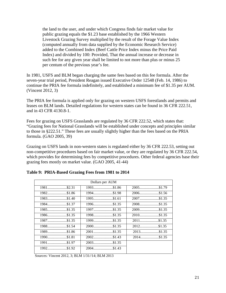the land to the user, and under which Congress finds fair market value for public grazing equals the \$1.23 base established by the 1966 Western Livestock Grazing Survey multiplied by the result of the Forage Value Index (computed annually from data supplied by the Economic Research Service) added to the Combined Index (Beef Cattle Price Index minus the Price Paid Index) and divided by 100: Provided, That the annual increase or decrease in such fee for any given year shall be limited to not more than plus or minus 25 per centum of the previous year's fee.

In 1981, USFS and BLM began charging the same fees based on this fee formula. After the seven-year trial period, President Reagan issued Executive Order 12548 (Feb. 14, 1986) to continue the PRIA fee formula indefinitely, and established a minimum fee of \$1.35 per AUM. (Vincent 2012, 3)

The PRIA fee formula is applied only for grazing on western USFS forestlands and permits and leases on BLM lands. Detailed regulations for western states can be found in 36 CFR 222.51, and in 43 CFR 4130.8-1.

Fees for grazing on USFS Grasslands are regulated by 36 CFR 222.52, which states that: "Grazing fees for National Grasslands will be established under concepts and principles similar to those in §222.51." These fees are usually slightly higher than the fees based on the PRIA formula. (GAO 2005, 39)

Grazing on USFS lands in non-western states is regulated either by 36 CFR 222.53, setting out non-competitive procedures based on fair market value, or they are regulated by 36 CFR 222.54, which provides for determining fees by competitive procedures. Other federal agencies base their grazing fees mostly on market value. (GAO 2005, 41-44)

|               | Dollars per AUM |               |
|---------------|-----------------|---------------|
| 1981\$2.31    | 1993\$1.86      | 2005\$1.79    |
| 1982\$1.86    | 1994\$1.98      | 2006\$1.56    |
| 1983\$1.40    | 1995\$1.61      | 2007\$1.35    |
| 1984\$1.37    | 1996\$1.35      | 2008\$1.35    |
| $1985$ \$1.35 | $1997$ \$1.35   | 2009\$1.35    |
|               | 1998\$1.35      | $2010$ \$1.35 |
| 1987\$1.35    | 1999\$1.35      | 2011\$1.35    |
| 1988\$1.54    | 2000\$1.35      | 2012\$1.35    |
| 1989\$1.86    | $2001$ \$1.35   | $2013$ \$1.35 |
| 1990\$1.81    | 2002\$1.43      | 2014\$1.35    |
| 1991\$1.97    | $2003$ \$1.35   |               |
| 1992\$1.92    | 2004\$1.43      |               |
|               |                 |               |

#### **Table 9: PRIA-Based Grazing Fees from 1981 to 2014**

Sources: Vincent 2012, 3; BLM 1/31//14; BLM 2013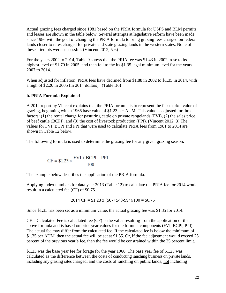Actual grazing fees charged since 1981 based on the PRIA formula for USFS and BLM permits and leases are shown in the table below. Several attempts at legislative reform have been made since 1986 with the goal of changing the PRIA formula to bring grazing fees charged on federal lands closer to rates charged for private and state grazing lands in the western states. None of these attempts were successful. (Vincent 2012, 5-6)

For the years 2002 to 2014, Table 9 shows that the PRIA fee was \$1.43 in 2002, rose to its highest level of \$1.79 in 2005, and then fell to the its \$1.35 legal minimum level for the years 2007 to 2014.

When adjusted for inflation, PRIA fees have declined from \$1.88 in 2002 to \$1.35 in 2014, with a high of \$2.20 in 2005 (in 2014 dollars). (Table B6)

# **b. PRIA Formula Explained**

A 2012 report by Vincent explains that the PRIA formula is to represent the fair market value of grazing, beginning with a 1966 base value of \$1.23 per AUM. This value is adjusted for three factors: (1) the rental charge for pasturing cattle on private rangelands (FVI), (2) the sales price of beef cattle (BCPI), and (3) the cost of livestock production (PPI). (Vincent 2012, 3) The values for FVI, BCPI and PPI that were used to calculate PRIA fees from 1981 to 2014 are shown in Table 12 below.

The following formula is used to determine the grazing fee for any given grazing season:

$$
CF = $1.23 \times \frac{FVI + BCPI - PPI}{100}
$$

The example below describes the application of the PRIA formula.

Applying index numbers for data year 2013 (Table 12) to calculate the PRIA fee for 2014 would result in a calculated fee (CF) of \$0.75.

$$
2014 \text{ CF} = $1.23 \text{ x } (507 + 548 - 994)/100 = $0.75
$$

Since \$1.35 has been set as a minimum value, the actual grazing fee was \$1.35 for 2014.

 $CF =$  Calculated Fee is calculated fee (CF) is the value resulting from the application of the above formula and is based on prior year values for the formula components (FVI, BCPI, PPI). The actual fee may differ from the calculated fee. If the calculated fee is below the minimum of \$1.35 per AUM, then the actual fee will be set at \$1.35. Or, if the fee adjustment would exceed 25 percent of the previous year's fee, then the fee would be constrained within the 25 percent limit.

\$1.23 was the base year fee for forage for the year 1966. The base year fee of \$1.23 was calculated as the difference between the costs of conducting ranching business on private lands, including any grazing rates charged, and the costs of ranching on public lands, not including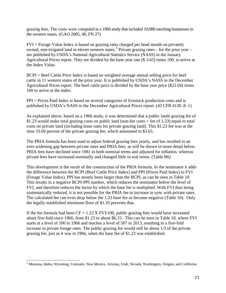grazing fees. The costs were computed in a 1966 study that included 10,000 ranching businesses in the western states. (GAO 2005, 40, FN 27)

FVI = Forage Value Index is based on grazing rates charged per head month on privately owned, non-irrigated land in eleven western states.<sup>[5](#page-23-0)</sup> Private grazing rates – for the prior year – are published by USDA's National Agricultural Statistics Service (NASS) in the January Agricultural Prices report. They are divided by the base year rate (\$ 3.65) times 100, to arrive at the Index Value.

BCPI = Beef Cattle Price Index is based on weighted average annual selling price for beef cattle in 11 western states of the prior year. It is published by USDA's NASS in the December Agricultural Prices report. The beef cattle price is divided by the base year price (\$22.04) times 100 to arrive at the index.

PPI = Prices Paid Index is based on several categories of livestock production costs and is published by USDA's NASS in the December Agricultural Prices report. (43 CFR 4130 .8–1)

As explained above, based on a 1966 study, it was determined that a public lands grazing fee of \$1.23 would make total grazing costs on public land (non-fee costs + fee of 1.23) equal to total costs on private land (including lease rates for private grazing land). This \$1.23 fee was at the time 33.69 percent of the private grazing fee, which amounted to \$3.65.

The PRIA formula has been used to adjust federal grazing fees yearly, and has resulted in an ever-widening gap between private rates and PRIA fees, as will be shown in more detail below. PRIA fees have declined since 1981 in both nominal terms and adjusted for inflation, whereas private fees have increased nominally and changed little in real terms. (Table B6)

This development is the result of the construction of the PRIA formula. In the nominator it adds the difference between the BCPI (Beef Cattle Price Index) and PPI (Prices Paid Index) to FVI (Forage Value Index). PPI has mostly been larger than the BCPI, as can be seen in Table 10. This results in a negative BCPI-PPI number, which reduces the nominator below the level of FVI, and therefore reduces the factor by which the base fee is multiplied. With FVI thus being systematically reduced, it is not possible for the PRIA fee to increase in sync with private rates. The calculated fee can even drop below the 1.23 base fee or become negative (Table 10). Only the legally established minimum floor of \$1.35 prevents that.

If the fee formula had been  $CF = 1.23$  X FVI/100, public grazing fees would have increased about five-fold since 1966, from \$1.23 to about \$6.15. This can be seen in Table 10, where FVI starts at a level of 100 in 1966 and reaches a level of 507 in 2013, resulting in a five-fold increase in private forage rates. The public grazing fee would still be about 1/3 of the private grazing fee, just as it was in 1966, when the base fee of \$1.23 was established.

<span id="page-23-0"></span><sup>5</sup> Montana, Idaho, Wyoming, Colorado, New Mexico, Arizona, Utah, Nevada, Washington, Oregon, and California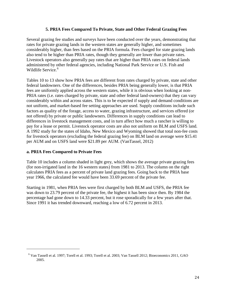# **5. PRIA Fees Compared To Private, State and Other Federal Grazing Fees**

Several grazing fee studies and surveys have been conducted over the years, demonstrating that rates for private grazing lands in the western states are generally higher, and sometimes considerably higher, than fees based on the PRIA formula. Fees charged for state grazing lands also tend to be higher than PRIA rates, though they generally are lower than private rates. Livestock operators also generally pay rates that are higher than PRIA rates on federal lands administered by other federal agencies, including National Park Service or U.S. Fish and Wildlife Service.<sup>[6](#page-24-0)</sup>

Tables 10 to 13 show how PRIA fees are different from rates charged by private, state and other federal landowners. One of the differences, besides PRIA being generally lower, is that PRIA fees are uniformly applied across the western states, while it is obvious when looking at non-PRIA rates (i.e. rates charged by private, state and other federal land-owners) that they can vary considerably within and across states. This is to be expected if supply and demand conditions are not uniform, and market-based fee setting approaches are used. Supply conditions include such factors as quality of the forage, access to water, grazing infrastructure, and services offered (or not offered) by private or public landowners. Differences in supply conditions can lead to differences in livestock management costs, and in turn affect how much a rancher is willing to pay for a lease or permit. Livestock operator costs are also not uniform on BLM and USFS land. A 1992 study for the states of Idaho, New Mexico and Wyoming showed that total non-fee costs for livestock operators (excluding the federal grazing fee) on BLM land on average were \$15.41 per AUM and on USFS land were \$21.89 per AUM. (VanTassel, 2012)

# **a. PRIA Fees Compared to Private Fees**

<span id="page-24-0"></span>j

Table 10 includes a column shaded in light grey, which shows the average private grazing fees (for non-irrigated land in the 16 western states) from 1981 to 2013. The column on the right calculates PRIA fees as a percent of private land grazing fees. Going back to the PRIA base year 1966, the calculated fee would have been 33.69 percent of the private fee.

Starting in 1981, when PRIA fees were first charged by both BLM and USFS, the PRIA fee was down to 23.79 percent of the private fee, the highest it has been since then. By 1984 the percentage had gone down to 14.33 percent, but it rose sporadically for a few years after that. Since 1991 it has trended downward, reaching a low of 6.72 percent in 2013.

<sup>6</sup> Van Tassell et al. 1997; Torell et al. 1993; Torell et al. 2003; Van Tassell 2012; Bioeconomics 2011, GAO 2005.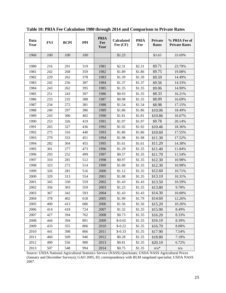| Data<br>Year | <b>FVI</b> | <b>BCPI</b> | <b>PPI</b> | <b>PRIA</b><br>Fee<br>Year | <b>Calculated</b><br>Fee (CF) | <b>PRIA</b><br>Fee | Private<br><b>Rates</b> | % PRIA Fee of<br><b>Private Rates</b> |
|--------------|------------|-------------|------------|----------------------------|-------------------------------|--------------------|-------------------------|---------------------------------------|
| 1966         | 100        | 100         | 100        |                            | \$1.23                        |                    | \$3.65                  | 33.69%                                |
|              |            |             |            |                            |                               |                    |                         |                                       |
| 1980         | 216        | 291         | 319        | 1981                       | \$2.31                        | \$2.31             | \$9.71                  | 23.79%                                |
| 1981         | 242        | 268         | 359        | 1982                       | \$1.89                        | \$1.86             | \$9.75                  | 19.08%                                |
| 1982         | 229        | 262         | 378        | 1983                       | \$1.39                        | \$1.39             | \$9.59                  | 14.49%                                |
| 1983         | 242        | 256         | 387        | 1984                       | \$1.37                        | \$1.37             | \$9.56                  | 14.33%                                |
| 1984         | 243        | 262         | 395        | 1985                       | \$1.35                        | \$1.35             | \$9.06                  | 14.90%                                |
| 1985         | 251        | 243         | 397        | 1986                       | \$0.93                        | \$1.35             | \$8.33                  | 16.21%                                |
| 1986         | 233        | 235         | 388        | 1987                       | \$0.98                        | \$1.35             | \$8.09                  | 16.69%                                |
| 1987         | 234        | 272         | 381        | 1988                       | \$1.54                        | \$1.54             | \$8.98                  | 17.15%                                |
| 1988         | 240        | 297         | 386        | 1989                       | \$1.86                        | \$1.86             | \$10.06                 | 18.49%                                |
| 1989         | 243        | 306         | 402        | 1990                       | \$1.81                        | \$1.81             | \$10.86                 | 16.67%                                |
| 1990         | 253        | 326         | 419        | 1991                       | \$1.97                        | \$1.97             | \$9.78                  | 20.14%                                |
| 1991         | 265        | 327         | 436        | 1992                       | \$1.92                        | \$1.92             | \$10.46                 | 18.36%                                |
| 1992         | 275        | 316         | 440        | 1993                       | \$1.86                        | \$1.86             | \$10.60                 | 17.55%                                |
| 1993         | 279        | 333         | 451        | 1994                       | \$1.98                        | \$1.98             | \$11.30                 | 17.52%                                |
| 1994         | 282        | 304         | 455        | 1995                       | \$1.61                        | \$1.61             | \$11.20                 | 14.38%                                |
| 1995         | 301        | 277         | 473        | 1996                       | \$1.29                        | \$1.35             | \$11.40                 | 11.84%                                |
| 1996         | 293        | 252         | 499        | 1997                       | \$0.57                        | \$1.35             | \$11.70                 | 11.54%                                |
| 1997         | 310        | 281         | 512        | 1998                       | \$0.97                        | \$1.35             | \$12.30                 | 10.98%                                |
| 1998         | 323        | 272         | 514        | 1999                       | \$1.00                        | \$1.35             | \$12.30                 | 10.98%                                |
| 1999         | 326        | 281         | 516        | 2000                       | \$1.12                        | \$1.35             | \$12.60                 | 10.71%                                |
| 2000         | 329        | 313         | 554        | 2001                       | \$1.08                        | \$1.35             | \$13.10                 | 10.31%                                |
| 2001         | 345        | 330         | 559        | 2002                       | \$1.43                        | \$1.43             | \$13.50                 | 10.59%                                |
| 2002         | 356        | 303         | 559        | 2003                       | \$1.23                        | \$1.35             | \$13.80                 | 9.78%                                 |
| 2003         | 367        | 342         | 593        | 2004                       | \$1.43                        | \$1.43             | \$14.30                 | 10.00%                                |
| 2004         | 378        | 402         | 618        | 2005                       | \$1.99                        | \$1.79             | \$14.60                 | 12.26%                                |
| 2005         | 400        | 413         | 686        | 2006                       | \$1.56                        | \$1.56             | \$15.20                 | 10.26%                                |
| 2006         | 414        | 418         | 724        | 2007                       | \$1.32                        | \$1.35             | \$15.90                 | 8.49%                                 |
| 2007         | 427        | 394         | 762        | 2008                       | \$0.73                        | \$1.35             | \$16.20                 | 8.33%                                 |
| 2008         | 444        | 394         | 891        | 2009                       | $$-0.65$                      | \$1.35             | \$16.10                 | 8.39%                                 |
| 2009         | 433        | 355         | 806        | 2010                       | $$-0.22$                      | \$1.35             | \$16.70                 | 8.08%                                 |
| 2010         | 441        | 398         | 866        | 2011                       | $$-0.33$                      | \$1.35             | \$17.90                 | 7.54%                                 |
| 2011         | 460        | 509         | 946        | 2012                       | \$0.28                        | \$1.35             | \$18.80                 | 7.18%                                 |
| 2012         | 490        | 556         | 980        | 2013                       | \$0.81                        | \$1.35             | \$20.10                 | 6.72%                                 |
| 2013         | 507        | 548         | 994        | 2014                       | \$0.75                        | \$1.35             | $n/a*$                  | n/a                                   |

**Table 10: PRIA Fee Calculation 1980 through 2014 and Comparison to Private Rates** 

Source: USDA National Agricultural Statistics Service (NASS) Quickstats; USDA NASS Agricultural Prices (January and December Surveys); GAO 2005, 83; correspondence with BLM rangeland specialist; USDA NASS 2007.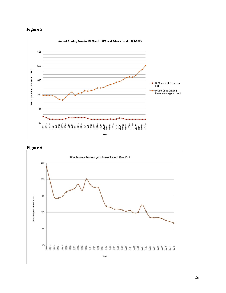



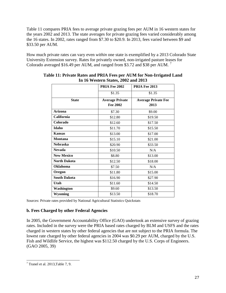Table 11 compares PRIA fees to average private grazing fees per AUM in 16 western states for the years 2002 and 2013. The state averages for private grazing fees varied considerably among the 16 states. In 2002, rates ranged from \$7.30 to \$20.9. In 2013, fees varied between \$9 and \$33.50 per AUM.

How much private rates can vary even *within* one state is exemplified by a 2013 Colorado State University Extension survey. Rates for privately owned, non-irrigated pasture leases for Colorado averaged \$16.49 per AUM, and ranged from \$3.[7](#page-27-0)2 and \$38 per AUM.<sup>7</sup>

|                     | PRIA Fee 2002          | PRIA Fee 2013              |
|---------------------|------------------------|----------------------------|
|                     | \$1.35                 | \$1.35                     |
| <b>State</b>        | <b>Average Private</b> | <b>Average Private Fee</b> |
|                     | Fee 2002               | 2013                       |
| Arizona             | \$7.30                 | \$9.00                     |
| California          | \$12.80                | \$19.50                    |
| Colorado            | \$12.60                | \$17.50                    |
| Idaho               | \$11.70                | \$15.50                    |
| <b>Kansas</b>       | \$13.00                | \$17.00                    |
| <b>Montana</b>      | \$15.10                | \$21.00                    |
| <b>Nebraska</b>     | \$20.90                | \$33.50                    |
| <b>Nevada</b>       | \$10.50                | N/A                        |
| <b>New Mexico</b>   | \$8.80                 | \$13.00                    |
| <b>North Dakota</b> | \$12.50                | \$18.00                    |
| <b>Oklahoma</b>     | \$7.50                 | N/A                        |
| Oregon              | \$11.80                | \$15.00                    |
| <b>South Dakota</b> | \$16.90                | \$27.90                    |
| Utah                | \$11.60                | \$14.50                    |
| Washington          | \$9.60                 | \$13.50                    |
| Wyoming             | \$13.50                | \$18.70                    |

#### **Table 11: Private Rates and PRIA Fees per AUM for Non-Irrigated Land In 16 Western States, 2002 and 2013**

Sources: Private rates provided by National Agricultural Statistics Quickstats

# **b. Fees Charged by other Federal Agencies**

In 2005, the Government Accountability Office (GAO) undertook an extensive survey of grazing rates. Included in the survey were the PRIA based rates charged by BLM and USFS and the rates charged in western states by other federal agencies that are not subject to the PRIA formula. The lowest rate charged by other federal agencies in 2004 was \$0.29 per AUM, charged by the U.S. Fish and Wildlife Service, the highest was \$112.50 charged by the U.S. Corps of Engineers. (GAO 2005, 39)

<span id="page-27-0"></span> $<sup>7</sup>$  Tranel et al. 2013, Table 7, 9.</sup>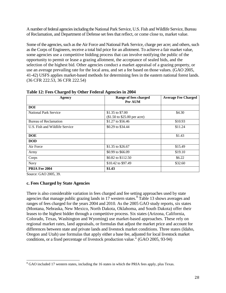A number of federal agencies including the National Park Service, U.S. Fish and Wildlife Service, Bureau of Reclamation, and Department of Defense set fees that reflect, or come close to, market value.

Some of the agencies, such as the Air Force and National Park Service, charge per acre; and others, such as the Corps of Engineers, receive a total bid price for an allotment. To achieve a fair market value, some agencies use a competitive bidding process that can involve notifying the public of the opportunity to permit or lease a grazing allotment, the acceptance of sealed bids, and the selection of the highest bid. Other agencies conduct a market appraisal of a grazing property, or use an average prevailing rate for the local area, and set a fee based on those values. (GAO 2005, 41-42) USFS applies market-based methods for determining fees in the eastern national forest lands. (36 CFR 222.53, 36 CFR 222.54)

| Agency                         | Range of fees charged<br>Per AUM                                  | <b>Average Fee Charged</b> |
|--------------------------------|-------------------------------------------------------------------|----------------------------|
| <b>DOI</b>                     |                                                                   |                            |
| <b>National Park Service</b>   | \$1.35 to \$7.00<br>$($1.50 \text{ to } $25.00 \text{ per acre})$ | \$4.30                     |
| Bureau of Reclamation          | \$1.27 to \$56.46                                                 | \$10.93                    |
| U.S. Fish and Wildlife Service | \$0.29 to \$34.44                                                 | \$11.24                    |
| <b>DOE</b>                     |                                                                   | \$1.43                     |
| <b>DOD</b>                     |                                                                   |                            |
| Air Force                      | \$1.35 to \$26.67                                                 | \$15.49                    |
| Army                           | \$0.99 to \$66.09                                                 | \$19.10                    |
| Corps                          | \$0.82 to \$112.50                                                | \$6.22                     |
| Navy                           | \$10.42 to \$97.49                                                | \$32.60                    |
| PRIA Fee 2004                  | \$1.43                                                            |                            |

|  |  |  | Table 12: Fees Charged by Other Federal Agencies in 2004 |  |
|--|--|--|----------------------------------------------------------|--|
|  |  |  |                                                          |  |

Source: GAO 2005, 39.

# **c. Fees Charged by State Agencies**

There is also considerable variation in fees charged and fee setting approaches used by state agencies that manage public grazing lands in 17 western states.<sup>[8](#page-28-0)</sup> Table 13 shows averages and ranges of fees charged for the years 2004 and 2010. As the 2005 GAO study reports, six states (Montana, Nebraska, New Mexico, North Dakota, Oklahoma, and South Dakota) offer their leases to the highest bidder through a competitive process. Six states (Arizona, California, Colorado, Texas, Washington and Wyoming) use market-based approaches. These rely on regional market rates, land appraisals, or formulas that adjust the market price and account for differences between state and private lands and livestock market conditions. Three states (Idaho, Oregon and Utah) use formulas that apply either a base fee, adjusted for local livestock market conditions, or a fixed percentage of livestock production value." (GAO 2005, 93-94)

<span id="page-28-0"></span><sup>&</sup>lt;sup>8</sup> GAO included 17 western states, including the 16 states in which the PRIA fees apply, plus Texas.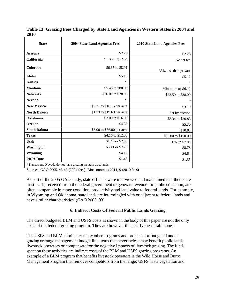| <b>State</b>        | <b>2004 State Land Agencies Fees</b>                                                                                      | <b>2010 State Land Agencies Fees</b> |
|---------------------|---------------------------------------------------------------------------------------------------------------------------|--------------------------------------|
| Arizona             | \$2.23                                                                                                                    | \$2.28                               |
| California          | \$1.35 to \$12.50                                                                                                         | No set fee                           |
| Colorado            | \$6.65 to \$8.91                                                                                                          | 35% less than private                |
| Idaho               | \$5.15                                                                                                                    | \$5.12                               |
| <b>Kansas</b>       | $\ast$                                                                                                                    | $\ast$                               |
| <b>Montana</b>      | \$5.48 to \$80.00                                                                                                         | Minimum of \$6.12                    |
| <b>Nebraska</b>     | \$16.00 to \$28.00                                                                                                        | \$22.50 to \$38.00                   |
| <b>Nevada</b>       | $\ast$                                                                                                                    | *                                    |
| <b>New Mexico</b>   | \$0.71 to \$10.15 per acre                                                                                                | \$3.19                               |
| <b>North Dakota</b> | \$1.73 to \$19.69 per acre                                                                                                | Set by auction                       |
| Oklahoma            | \$7.00 to \$16.00                                                                                                         | \$8.34 to \$20.83                    |
| Oregon              | \$4.32                                                                                                                    | \$5.30                               |
| <b>South Dakota</b> | \$3.00 to \$56.00 per acre                                                                                                | \$10.82                              |
| <b>Texas</b>        | \$4.16 to \$12.50                                                                                                         | \$65.00 to \$150.00                  |
| Utah                | \$1.43 or \$2.35                                                                                                          | 3.92 to \$7.00                       |
| Washington          | \$5.41 or \$7.76                                                                                                          | \$8.78                               |
| Wyoming             | \$4.13                                                                                                                    | \$4.64                               |
| <b>PRIA Rate</b>    | \$1.43<br>the contract of the contract of the contract of the contract of the contract of the contract of the contract of | \$1.35                               |

**Table 13: Grazing Fees Charged by State Land Agencies in Western States in 2004 and 2010**

\* Kansas and Nevada do not have grazing on state trust lands.

Sources: GAO 2005, 45-46 (2004 fees); Bioeconomics 2011, 9 (2010 fees)

As part of the 2005 GAO study, state officials were interviewed and maintained that their state trust lands, received from the federal government to generate revenue for public education, are often comparable in range condition, productivity and land value to federal lands. For example, in Wyoming and Oklahoma, state lands are intermingled with or adjacent to federal lands and have similar characteristics. (GAO 2005, 93)

#### **6. Indirect Costs Of Federal Public Lands Grazing**

The direct budgeted BLM and USFS costs as shown in the body of this paper are not the only costs of the federal grazing program. They are however the clearly measurable ones.

The USFS and BLM administer many other programs and projects not budgeted under grazing or range management budget line items that nevertheless may benefit public lands livestock operators or compensate for the negative impacts of livestock grazing. The funds spent on these activities are indirect costs of the BLM and USFS grazing programs. An example of a BLM program that benefits livestock operators is the Wild Horse and Burro Management Program that removes competitors from the range; USFS has a vegetation and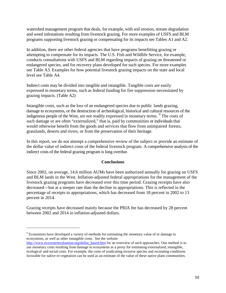watershed management program that deals, for example, with soil erosion, stream degradation and weed infestations resulting from livestock grazing. For more examples of USFS and BLM programs supporting livestock grazing or compensating for its impacts see Tables A1 and A2.

In addition, there are other federal agencies that have programs benefitting grazing or attempting to compensate for its impacts. The U.S. Fish and Wildlife Service, for example, conducts consultations with USFS and BLM regarding impacts of grazing on threatened or endangered species, and for recovery plans developed for such species. For more examples see Table A3. Examples for how potential livestock grazing impacts on the state and local level see Table A4.

Indirect costs may be divided into tangible and intangible. Tangible costs are easily expressed in monetary terms, such as federal funding for fire suppression necessitated by grazing impacts. (Table A2)

Intangible costs, such as the loss of an endangered species due to public lands grazing, damage to ecosystems, or the destruction of archeological, historical and cultural resources of the indigenous people of the West, are not readily expressed in monetary terms. <sup>[9](#page-30-0)</sup> The costs of such damage or are often "externalized," that is, paid by communities or individuals that would otherwise benefit from the goods and services that flow from unimpaired forests, grasslands, deserts and rivers, or from the preservation of their heritage.

In this report, we do not attempt a comprehensive review of the subject or provide an estimate of the dollar value of indirect costs of the federal livestock program. A comprehensive analysis of the indirect costs of the federal grazing program is long overdue.

# **Conclusions**

Since 2002, on average, 14.6 million AUMs have been authorized annually for grazing on USFS and BLM lands in the West. Inflation-adjusted federal appropriations for the management of the livestock grazing programs have decreased over this time period. Grazing receipts have also decreased—but at a steeper rate than the decline in appropriations. This is reflected in the percentage of receipts to appropriations, which has decreased from 18 percent in 2002 to 13 percent in 2014.

Grazing receipts have decreased mainly because the PRIA fee has decreased by 28 percent between 2002 and 2014 in inflation-adjusted dollars.

j

<span id="page-30-0"></span><sup>&</sup>lt;sup>9</sup> Economists have developed a variety of methods for estimating the monetary value of or damage to ecosystems, as well as other intangible costs. See the website

[http://www.ecosystemvaluation.org/dollar\\_based.htm](http://www.ecosystemvaluation.org/dollar_based.htm) for an overview of such approaches. One method is to use monetary costs resulting from damage to ecosystems as a proxy for estimating externalized, intangible, ecological and social costs. For example, the costs of eradicating invasive species and recreating conditions favorable for native re-vegetation can be used as an estimate of the value of these native plant communities.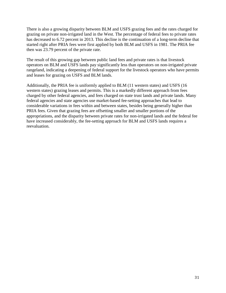There is also a growing disparity between BLM and USFS grazing fees and the rates charged for grazing on private non-irrigated land in the West. The percentage of federal fees to private rates has decreased to 6.72 percent in 2013. This decline is the continuation of a long-term decline that started right after PRIA fees were first applied by both BLM and USFS in 1981. The PRIA fee then was 23.79 percent of the private rate.

The result of this growing gap between public land fees and private rates is that livestock operators on BLM and USFS lands pay significantly less than operators on non-irrigated private rangeland, indicating a deepening of federal support for the livestock operators who have permits and leases for grazing on USFS and BLM lands.

Additionally, the PRIA fee is uniformly applied to BLM (11 western states) and USFS (16 western states) grazing leases and permits. This is a markedly different approach from fees charged by other federal agencies, and fees charged on state trust lands and private lands. Many federal agencies and state agencies use market-based fee-setting approaches that lead to considerable variations in fees within and between states, besides being generally higher than PRIA fees. Given that grazing fees are offsetting smaller and smaller portions of the appropriations, and the disparity between private rates for non-irrigated lands and the federal fee have increased considerably, the fee-setting approach for BLM and USFS lands requires a reevaluation.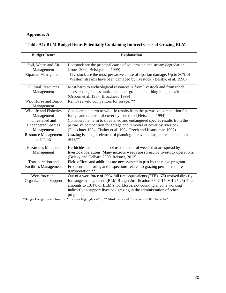# **Appendix A**

# **Table A1: BLM Budget Items Potentially Containing Indirect Costs of Grazing BLM**

| <b>Budget Item*</b>                                       | <b>Explanation</b>                                                                                                                                                                                                                                                                                                 |
|-----------------------------------------------------------|--------------------------------------------------------------------------------------------------------------------------------------------------------------------------------------------------------------------------------------------------------------------------------------------------------------------|
| Soil, Water, and Air<br>Management                        | Livestock are the principal cause of soil erosion and stream degradation.<br>(Jones 2000; Belsky et al, 1999)                                                                                                                                                                                                      |
| Riparian Management                                       | Livestock are the most pervasive cause of riparian damage. Up to 80% of<br>Western streams have been damaged by livestock. (Belsky, et al. 1990)                                                                                                                                                                   |
| <b>Cultural Resources</b><br>Management                   | Most harm to archeological resources is from livestock and from ranch<br>access roads, fences, tanks and other ground disturbing range developments.<br>(Osborn et al. 1987; Broadhead 1999)                                                                                                                       |
| Wild Horse and Burro<br>Management                        | Removes wild competitors for forage. **                                                                                                                                                                                                                                                                            |
| Wildlife and Fisheries<br>Management                      | Considerable harm to wildlife results from the pervasive competition for<br>forage and removal of cover by livestock (Fleischner 1994)                                                                                                                                                                             |
| Threatened and<br><b>Endangered Species</b><br>Management | Considerable harm to threatened and endangered species results from the<br>pervasive competition for forage and removal of cover by livestock<br>(Fleischner 1994, Flather et al. 1994; Czech and Kraussman 1997)                                                                                                  |
| <b>Resource Management</b><br>Planning                    | Grazing is a major element of planning. It covers a larger area than all other<br>$uses.**$                                                                                                                                                                                                                        |
| <b>Hazardous Materials</b><br>Management                  | Herbicides are the main tool used to control weeds that are spread by<br>livestock operations. Many noxious weeds are spread by livestock operations.<br>(Belsky and Gelbard 2000, Reisner, 2013)                                                                                                                  |
| Transportation and<br><b>Facilities Management</b>        | Field offices and additions are necessitated in part by the range program.<br>Frequent monitoring and inspections related to grazing permits require<br>transportation.**                                                                                                                                          |
| Workforce and<br><b>Organizational Support</b>            | Out of a workforce of 5994 full time equivalents (FTE), 670 worked directly<br>for range management. (BLM Budget Justification FY 2015, VII-25,26) That<br>amounts to 13.4% of BLM's workforce, not counting anyone working<br>indirectly to support livestock grazing in the administration of other<br>programs. |
|                                                           | *Budget Categories are from BLM Bureau Highlights 2015; ** Moskowitz and Romaniello 2002, Table A-2                                                                                                                                                                                                                |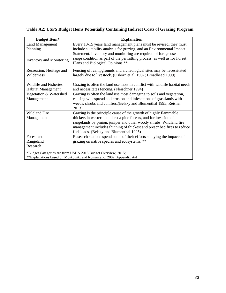# **Table A2: USFS Budget Items Potentially Containing Indirect Costs of Grazing Program**

| <b>Budget Item*</b>                          | <b>Explanation</b>                                                                                                                                                                                                                                                                                                                |
|----------------------------------------------|-----------------------------------------------------------------------------------------------------------------------------------------------------------------------------------------------------------------------------------------------------------------------------------------------------------------------------------|
| <b>Land Management</b><br>Planning           | Every 10-15 years land management plans must be revised, they must<br>include suitability analysis for grazing, and an Environmental Impact<br>Statement. Inventory and monitoring are required of forage use and<br>range condition as part of the permitting process, as well as for Forest                                     |
| <b>Inventory and Monitoring</b>              | Plans and Biological Opinions.**                                                                                                                                                                                                                                                                                                  |
| Recreation, Heritage and<br>Wilderness       | Fencing off campgrounds and archeological sites may be necessitated<br>largely due to livestock. (Osborn et al. 1987; Broadhead 1999)                                                                                                                                                                                             |
| Wildlife and Fisheries<br>Habitat Management | Grazing is often the land use most in conflict with wildlife habitat needs<br>and necessitates fencing. (Fleischner 1994)                                                                                                                                                                                                         |
| Vegetation & Watershed<br>Management         | Grazing is often the land use most damaging to soils and vegetation,<br>causing widespread soil erosion and infestations of grasslands with<br>weeds, shrubs and conifers. (Belsky and Blumenthal 1995, Reisner<br>2013)                                                                                                          |
| <b>Wildland Fire</b><br>Management           | Grazing is the principle cause of the growth of highly flammable<br>thickets in western ponderosa pine forests, and for invasion of<br>rangelands by pinion, juniper and other woody shrubs. Wildland fire<br>management includes thinning of thickest and prescribed fires to reduce<br>fuel loads. (Belsky and Blumenthal 1995) |
| Forest and<br>Rangeland<br>Research          | Research stations spend some of their efforts studying the impacts of<br>grazing on native species and ecosystems. **                                                                                                                                                                                                             |
|                                              | *Budget Categories are from USDA 2015 Budget Overview, 2015;<br>**Explanations based on Moskowitz and Romaniello, 2002, Appendix A-1                                                                                                                                                                                              |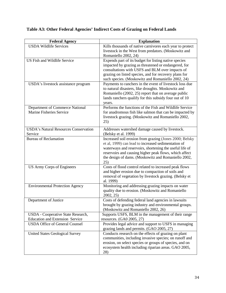| <b>Federal Agency</b>                                                           | <b>Explanation</b>                                                                                       |
|---------------------------------------------------------------------------------|----------------------------------------------------------------------------------------------------------|
| <b>USDA Wildlife Services</b>                                                   | Kills thousands of native carnivores each year to protect                                                |
|                                                                                 | livestock in the West from predators. (Moskowitz and                                                     |
|                                                                                 | Romaniello 2002, 24)                                                                                     |
| <b>US Fish and Wildlife Service</b>                                             | Expends part of its budget for listing native species                                                    |
|                                                                                 | impacted by grazing as threatened or endangered, for                                                     |
|                                                                                 | consultations with USFS and BLM over impacts of<br>grazing on listed species, and for recovery plans for |
|                                                                                 | such species. (Moskowitz and Romaniello 2002, 24)                                                        |
| USDA's livestock assistance program                                             | Payments to ranchers in the event of livestock loss due                                                  |
|                                                                                 | to natural disasters, like droughts. Moskowitz and                                                       |
|                                                                                 | Romaniello (2002, 25) report that on average public                                                      |
|                                                                                 | lands ranchers qualify for this subsidy four out of 10                                                   |
|                                                                                 | years.                                                                                                   |
| Department of Commerce National                                                 | Performs the functions of the Fish and Wildlife Service                                                  |
| Marine Fisheries Service                                                        | for anadromous fish like salmon that can be impacted by                                                  |
|                                                                                 | livestock grazing. (Moskowitz and Romaniello 2002,                                                       |
|                                                                                 | 25)                                                                                                      |
| <b>USDA's Natural Resources Conservation</b>                                    | Addresses watershed damage caused by livestock.                                                          |
| Service                                                                         | (Belsky et al. 1999)                                                                                     |
| <b>Bureau of Reclamation</b>                                                    | Increased soil erosion from grazing (Jones 2000; Belsky                                                  |
|                                                                                 | et al, 1999) can lead to increased sedimentation of                                                      |
|                                                                                 | waterways and reservoirs, shortening the useful life of                                                  |
|                                                                                 | reservoirs and causing higher peak flows, which affect                                                   |
|                                                                                 | the design of dams. (Moskowitz and Romaniello 2002,                                                      |
| <b>US Army Corps of Engineers</b>                                               | 25)<br>Costs of flood control related to increased peak flows                                            |
|                                                                                 | and higher erosion due to compaction of soils and                                                        |
|                                                                                 | removal of vegetation by livestock grazing. (Belsky et                                                   |
|                                                                                 | al. 1999)                                                                                                |
| <b>Environmental Protection Agency</b>                                          | Monitoring and addressing grazing impacts on water                                                       |
|                                                                                 | quality due to erosion. (Moskowitz and Romaniello                                                        |
|                                                                                 | 2002, 25                                                                                                 |
| Department of Justice                                                           | Costs of defending federal land agencies in lawsuits                                                     |
|                                                                                 | brought by grazing industry and environmental groups.                                                    |
|                                                                                 | (Moskowitz and Romaniello 2002, 26)                                                                      |
| USDA - Cooperative State Research,                                              | Supports USFS, BLM in the management of their range                                                      |
| <b>Education and Extension Service</b><br><b>USDA Office of General Counsel</b> | resources. (GA0 2005, 27)                                                                                |
|                                                                                 | Provides legal advice and support to USFS in managing<br>grazing lands and permits. (GAO 2005, 27)       |
| <b>United States Geological Survey</b>                                          | Conducts research on the effects of grazing on plant                                                     |
|                                                                                 | communities, including invasive species; on runoff and                                                   |
|                                                                                 | erosion, on select species or groups of species, and on                                                  |
|                                                                                 | ecosystem health including riparian areas. GAO 2005,                                                     |
|                                                                                 | 28)                                                                                                      |

# **Table A3: Other Federal Agencies' Indirect Costs of Grazing on Federal Lands**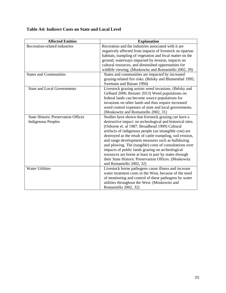| <b>Table A4: Indirect Costs on State and Local Level</b> |  |  |
|----------------------------------------------------------|--|--|
|----------------------------------------------------------|--|--|

| <b>Affected Entities</b>                   | <b>Explanation</b>                                         |
|--------------------------------------------|------------------------------------------------------------|
| Recreation-related industries              | Recreation and the industries associated with it are       |
|                                            | negatively affected from impacts of livestock on riparian  |
|                                            | habitats, trampling of vegetation and fecal matter on the  |
|                                            | ground, waterways impacted by erosion, impacts on          |
|                                            | cultural resources, and diminished opportunities for       |
|                                            | wildlife viewing. (Moskowitz and Romaniello 2002, 29)      |
| <b>States and Communities</b>              | States and communities are impacted by increased           |
|                                            | grazing-related fire risks. (Belsky and Blumenthal 1995;   |
|                                            | Swetnam and Baisan 1994)                                   |
| <b>State and Local Governments</b>         | Livestock grazing assists weed invasions. (Belsky and      |
|                                            | Gelbard 2000, Reisner 2013) Weed populations on            |
|                                            | federal lands can become source populations for            |
|                                            | invasions on other lands and thus require increased        |
|                                            | weed control expenses of state and local governments.      |
|                                            | (Moskowitz and Romaniello 2002, 31)                        |
| <b>State Historic Preservation Offices</b> | Studies have shown that livestock grazing can have a       |
| <b>Indigenous Peoples</b>                  | destructive impact on archeological and historical sites.  |
|                                            | (Osborne et. al 1987; Broadhead 1999) Cultural             |
|                                            | artifacts of indigenous people (an intangible cost) are    |
|                                            | destroyed as the result of cattle trampling, soil erosion, |
|                                            | and range development measures such as bulldozing          |
|                                            | and plowing. The (tangible) costs of consultations over    |
|                                            | impacts of public lands grazing on archeological           |
|                                            | resources are borne at least in part by states through     |
|                                            | their State Historic Preservation Offices. (Moskowitz      |
|                                            | and Romaniello 2002, 32)                                   |
| <b>Water Utilities</b>                     | Livestock borne pathogens cause illness and increase       |
|                                            | water treatment costs in the West, because of the need     |
|                                            | of monitoring and control of these pathogens by water      |
|                                            | utilities throughout the West. (Moskowitz and              |
|                                            | Romaniello 2002, 32)                                       |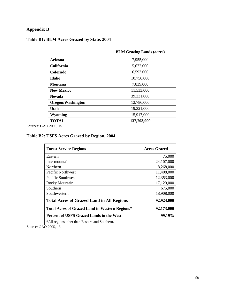# **Appendix B**

# **Table B1: BLM Acres Grazed by State, 2004**

|                   | <b>BLM Grazing Lands (acres)</b> |
|-------------------|----------------------------------|
| <b>Arizona</b>    | 7,955,000                        |
| <b>California</b> | 5,672,000                        |
| Colorado          | 6,593,000                        |
| Idaho             | 10,756,000                       |
| <b>Montana</b>    | 7,839,000                        |
| <b>New Mexico</b> | 11,533,000                       |
| <b>Nevada</b>     | 39,331,000                       |
| Oregon/Washington | 12,786,000                       |
| Utah              | 19,321,000                       |
| Wyoming           | 15,917,000                       |
| <b>TOTAL</b>      | 137,703,000                      |

Sources: GAO 2005, 15

# **Table B2: USFS Acres Grazed by Region, 2004**

| <b>Forest Service Regions</b>                    | <b>Acres Grazed</b> |
|--------------------------------------------------|---------------------|
| Eastern                                          | 75,000              |
| Intermountain                                    | 24,107,000          |
| Northern                                         | 8,268,000           |
| Pacific Northwest                                | 11,408,000          |
| Pacific Southwest                                | 12,353,000          |
| <b>Rocky Mountain</b>                            | 17,129,000          |
| Southern                                         | 675,000             |
| Southwestern                                     | 18,908,000          |
| <b>Total Acres of Grazed Land in All Regions</b> | 92,924,000          |
| Total Acres of Grazed Land in Western Regions*   | 92,173,000          |
| Percent of USFS Grazed Lands in the West         | 99.19%              |
| *All regions other than Eastern and Southern.    |                     |

Source: GAO 2005, 15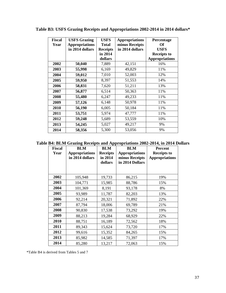| <b>Fiscal</b><br>Year | <b>USFS Grazing</b><br><b>Appropriations</b><br>in 2014 dollars | <b>USFS</b><br><b>Total</b><br><b>Receipts</b><br>in 2014<br>dollars | <b>Appropriations</b><br>minus Receipts<br>in 2014 dollars | Percentage<br>Of<br><b>USFS</b><br><b>Receipts to</b><br><b>Appropriations</b> |
|-----------------------|-----------------------------------------------------------------|----------------------------------------------------------------------|------------------------------------------------------------|--------------------------------------------------------------------------------|
| 2002                  | 50,040                                                          | 7,889                                                                | 42,151                                                     | 16%                                                                            |
| 2003                  | 55,998                                                          | 6,169                                                                | 49,829                                                     | 11%                                                                            |
| 2004                  | 59,012                                                          | 7,010                                                                | 52,003                                                     | 12%                                                                            |
| 2005                  | 59,950                                                          | 8,397                                                                | 51,553                                                     | 14%                                                                            |
| 2006                  | 58,831                                                          | 7,620                                                                | 51,211                                                     | 13%                                                                            |
| 2007                  | 56,877                                                          | 6,514                                                                | 50,363                                                     | 11%                                                                            |
| 2008                  | 55,480                                                          | 6,247                                                                | 49,233                                                     | 11%                                                                            |
| 2009                  | 57,126                                                          | 6,148                                                                | 50,978                                                     | 11%                                                                            |
| 2010                  | 56,190                                                          | 6,005                                                                | 50,184                                                     | 11%                                                                            |
| 2011                  | 53,751                                                          | 5,974                                                                | 47,777                                                     | 11%                                                                            |
| 2012                  | 59,248                                                          | 5,689                                                                | 53,559                                                     | 10%                                                                            |
| 2013                  | 54,245                                                          | 5,027                                                                | 49,217                                                     | 9%                                                                             |
| 2014                  | 58,356                                                          | 5,300                                                                | 53,056                                                     | 9%                                                                             |

**Table B3: USFS Grazing Receipts and Appropriations 2002-2014 in 2014 dollars\***

**Table B4: BLM Grazing Receipts and Appropriations 2002-2014, in 2014 Dollars** 

| <b>Fiscal</b><br>Year | <b>BLM</b><br><b>Appropriations</b><br>in 2014 dollars | <b>BLM</b><br><b>Receipts</b><br>in 2014<br>dollars | <b>BLM</b><br><b>Appropriations</b><br>minus Receipts<br>in 2014 Dollars | <b>Percent</b><br><b>Receipts to</b><br><b>Appropriations</b> |
|-----------------------|--------------------------------------------------------|-----------------------------------------------------|--------------------------------------------------------------------------|---------------------------------------------------------------|
|                       |                                                        |                                                     |                                                                          |                                                               |
| 2002                  | 105,948                                                | 19,733                                              | 86,215                                                                   | 19%                                                           |
| 2003                  | 104,771                                                | 15,985                                              | 88,786                                                                   | 15%                                                           |
| 2004                  | 101,369                                                | 8,191                                               | 93,178                                                                   | 8%                                                            |
| 2005                  | 93,989                                                 | 11,787                                              | 82,203                                                                   | 13%                                                           |
| 2006                  | 92,214                                                 | 20,321                                              | 71,892                                                                   | 22%                                                           |
| 2007                  | 87,794                                                 | 18,006                                              | 69,789                                                                   | 21%                                                           |
| 2008                  | 90,830                                                 | 17,538                                              | 73,292                                                                   | 19%                                                           |
| 2009                  | 88,213                                                 | 19,284                                              | 68,929                                                                   | 22%                                                           |
| 2010                  | 88,751                                                 | 16,189                                              | 72,562                                                                   | 18%                                                           |
| 2011                  | 89,343                                                 | 15,624                                              | 73,720                                                                   | 17%                                                           |
| 2012                  | 99,616                                                 | 15,352                                              | 84,265                                                                   | 15%                                                           |
| 2013                  | 85,982                                                 | 14,585                                              | 71,397                                                                   | 17%                                                           |
| 2014                  | 85,280                                                 | 13,217                                              | 72,063                                                                   | 15%                                                           |

\*Table B4 is derived from Tables 5 and 7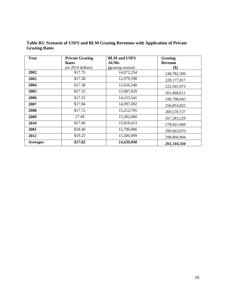| Year     | <b>Private Grazing</b> | <b>BLM</b> and USFS | Grazing                   |
|----------|------------------------|---------------------|---------------------------|
|          | <b>Rates</b>           | <b>AUMs</b>         | <b>Revenue</b>            |
|          | $(in 2014$ dollars)    | (grazing season)    | $\left( \text{\$}\right)$ |
| 2002     | \$17.75                | 14,072,254          | 249,782,509               |
| 2003     | \$17.58                | 12,979,398          | 228, 177, 817             |
| 2004     | \$17.58                | 12,656,540          | 222,501,973               |
| 2005     | \$17.33                | 15,087,629          | 261,468,611               |
| 2006     | \$17.55                | 14,233,541          | 249,798,645               |
| 2007     | \$17.84                | 14,397,692          | 256,854,825               |
| 2008     | \$17.72                | 15,212,795          | 269,570,727               |
| 2009     | 17.49                  | 15,282,060          | 267, 283, 229             |
| 2010     | \$17.60                | 15,819,413          | 278,421,669               |
| 2001     | \$18.40                | 15,796,906          | 290,663,070               |
| 2012     | \$19.23                | 15,500,099          | 298,066,904               |
| Averages | \$17.82                | 14,639,848          | 261,144,544               |

**Table B5: Scenario of USFS and BLM Grazing Revenues with Application of Private Grazing Rates** 

and the control of the control of the control of the control of the control of the control of the control of the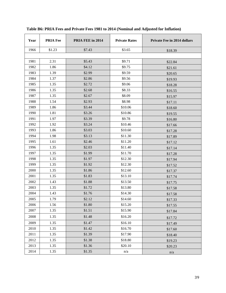| Year | <b>PRIA Fee</b> | PRIA FEE in 2014 | <b>Private Rates</b> | <b>Private Fee in 2014 dollars</b> |
|------|-----------------|------------------|----------------------|------------------------------------|
| 1966 | \$1.23          | \$7.43           | \$3.65               | \$18.39                            |
|      |                 |                  |                      |                                    |
| 1981 | 2.31            | \$5.43           | \$9.71               | \$22.84                            |
| 1982 | 1.86            | \$4.12           | \$9.75               | \$21.61                            |
| 1983 | 1.39            | \$2.99           | \$9.59               | \$20.65                            |
| 1984 | 1.37            | \$2.86           | \$9.56               | \$19.93                            |
| 1985 | 1.35            | \$2.72           | \$9.06               | \$18.28                            |
| 1986 | 1.35            | \$2.68           | \$8.33               | \$16.55                            |
| 1987 | 1.35            | \$2.67           | \$8.09               | \$15.97                            |
| 1988 | 1.54            | \$2.93           | \$8.98               | \$17.11                            |
| 1989 | 1.86            | \$3.44           | \$10.06              | \$18.60                            |
| 1990 | 1.81            | \$3.26           | \$10.86              | \$19.55                            |
| 1991 | 1.97            | \$3.39           | \$9.78               | \$16.80                            |
| 1992 | 1.92            | \$3.24           | \$10.46              | \$17.66                            |
| 1993 | 1.86            | \$3.03           | \$10.60              | \$17.28                            |
| 1994 | 1.98            | \$3.13           | \$11.30              | \$17.89                            |
| 1995 | 1.61            | \$2.46           | \$11.20              | \$17.12                            |
| 1996 | 1.35            | \$2.03           | \$11.40              | \$17.14                            |
| 1997 | 1.35            | \$1.99           | \$11.70              | \$17.28                            |
| 1998 | 1.35            | \$1.97           | \$12.30              | \$17.94                            |
| 1999 | 1.35            | \$1.92           | \$12.30              | \$17.52                            |
| 2000 | 1.35            | \$1.86           | \$12.60              | \$17.37                            |
| 2001 | 1.35            | \$1.83           | \$13.10              | \$17.74                            |
| 2002 | 1.43            | \$1.88           | \$13.50              | \$17.75                            |
| 2003 | 1.35            | \$1.72           | \$13.80              | \$17.58                            |
| 2004 | 1.43            | \$1.76           | \$14.30              | \$17.58                            |
| 2005 | 1.79            | \$2.12           | \$14.60              | \$17.33                            |
| 2006 | 1.56            | \$1.80           | \$15.20              | \$17.55                            |
| 2007 | 1.35            | \$1.51           | \$15.90              | \$17.84                            |
| 2008 | 1.35            | \$1.48           | \$16.20              | \$17.72                            |
| 2009 | 1.35            | \$1.47           | \$16.10              | \$17.49                            |
| 2010 | 1.35            | \$1.42           | \$16.70              | \$17.60                            |
| 2011 | 1.35            | \$1.39           | \$17.90              | \$18.40                            |
| 2012 | 1.35            | \$1.38           | \$18.80              | \$19.23                            |
| 2013 | 1.35            | \$1.36           | \$20.10              | \$20.23                            |
| 2014 | 1.35            | \$1.35           | n/a                  | $\mathrm{n}/\mathrm{a}$            |

# **Table B6: PRIA Fees and Private Fees 1981 to 2014 (Nominal and Adjusted for Inflation)**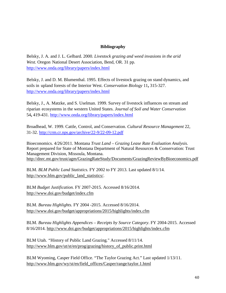# **Bibliography**

Belsky, J. A. and J. L. Gelbard. 2000. *Livestock grazing and weed invasions in the arid West.* Oregon National Desert Association, Bend, OR. 31 pp. <http://www.onda.org/library/papers/index.html>

Belsky, J. and D. M. Blumenthal. 1995. Effects of livestock grazing on stand dynamics, and soils in upland forests of the Interior West. *Conservation Biology* 11**,** 315-327. <http://www.onda.org/library/papers/index.html>

Belsky, J., A. Matzke, and S. Uselman. 1999. Survey of livestock influences on stream and riparian ecosystems in the western United States. *Journal of Soil and Water Conservation* 54**,** 419-431.<http://www.onda.org/library/papers/index.html>

Broadhead, W. 1999. Cattle, Control, and Conservation. *Cultural Resource Management* 22, 31-32.<http://crm.cr.nps.gov/archive/22-9/22-09-12.pdf>

Bioeconomics. 4/26/2011. Montana *Trust Land – Grazing Lease Rate Evaluation Analysis.*  Report prepared for State of Montana Department of Natural Resources & Conservation: Trust Management Division, Missoula, Montana. <http://dnrc.mt.gov/trust/agm/GrazingRateStudy/Documents/GrazingReviewByBioeconomics.pdf>

BLM. *BLM Public Land Statistics.* FY 2002 to FY 2013. Last updated 8/1/14. [http://www.blm.gov/public\\_land\\_statistics/.](http://www.blm.gov/public_land_statistics/)

BLM *Budget Justification.* FY 2007-2015. Accessed 8/16/2014. <http://www.doi.gov/budget/index.cfm>

BLM. *Bureau Highlights.* FY 2004 -2015. Accessed 8/16/2014. <http://www.doi.gov/budget/appropriations/2015/highlights/index.cfm>

BLM. *Bureau Highlights Appendices* – *Receipts by Source Category*. FY 2004-2015. Accessed 8/16/2014.<http://www.doi.gov/budget/appropriations/2015/highlights/index.cfm>

BLM Utah. *"*History of Public Land Grazing*.*" Accessed 8/11/14. [http://www.blm.gov/ut/st/en/prog/grazing/history\\_of\\_public.print.html](http://www.blm.gov/ut/st/en/prog/grazing/history_of_public.print.html)

BLM Wyoming, Casper Field Office. "The Taylor Grazing Act." Last updated 1/13/11. [http://www.blm.gov/wy/st/en/field\\_offices/Casper/range/taylor.1.html](http://www.blm.gov/wy/st/en/field_offices/Casper/range/taylor.1.html)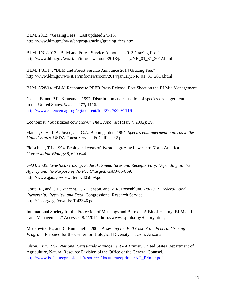BLM. 2012. *"*Grazing Fees." Last updated 2/1/13. [http://www.blm.gov/nv/st/en/prog/grazing/grazing\\_fees.html.](http://www.blm.gov/nv/st/en/prog/grazing/grazing_fees.html)

BLM. 1/31/2013. "BLM and Forest Service Announce 2013 Grazing Fee." [http://www.blm.gov/wo/st/en/info/newsroom/2013/january/NR\\_01\\_31\\_2012.html](http://www.blm.gov/wo/st/en/info/newsroom/2013/january/NR_01_31_2012.html)

BLM. 1/31/14. "BLM and Forest Service Announce 2014 Grazing Fee." [http://www.blm.gov/wo/st/en/info/newsroom/2014/january/NR\\_01\\_31\\_2014.html](http://www.blm.gov/wo/st/en/info/newsroom/2014/january/NR_01_31_2014.html)

BLM. 3/28/14. "BLM Response to PEER Press Release: Fact Sheet on the BLM's Management.

Czech, B. and P.R. Krausman. 1997. Distribution and causation of species endangerment in the United States. *Science* 277**,** 1116. <http://www.sciencemag.org/cgi/content/full/277/5329/1116>

Economist. "Subsidized cow chow." *The Economist* (Mar. 7, 2002): 39.

Flather, C.H., L.A. Joyce, and C.A. Bloomgarden. 1994. *Species endangerment patterns in the United States*, USDA Forest Service, Ft Collins. 42 pp.

Fleischner, T.L. 1994. Ecological costs of livestock grazing in western North America. *Conservation Biology* 8, 629-644.

GAO. 2005. *Livestock Grazing, Federal Expenditures and Receipts Vary, Depending on the Agency and the Purpose of the Fee Charged*. GAO-05-869. <http://www.gao.gov/new.items/d05869.pdf>

Gorte, R., and C.H. Vincent, L.A. Hanson, and M.R. Rosenblum. 2/8/2012. *Federal Land Ownership: Overview and Data*, Congressional Research Service. [http://fas.org/sgp/crs/misc/R42346.pdf.](http://fas.org/sgp/crs/misc/R42346.pdf)

International Society for the Protection of Mustangs and Burros. "A Bit of History, BLM and Land Management." Accessed 8/4/2014. [http://www.ispmb.org/History.html;](http://www.ispmb.org/History.html)

Moskowitz, K., and C. Romaniello. 2002. *Assessing the Full Cost of the Federal Grazing Program.* Prepared for the Center for Biological Diversity, Tucson, Arizona.

Olson, Eric. 1997. *National Grasslands Management - A Primer.* United States Department of Agriculture, Natural Resource Division of the Office of the General Counsel. [http://www.fs.fed.us/grasslands/resources/documents/primer/NG\\_Primer.pdf.](http://www.fs.fed.us/grasslands/resources/documents/primer/NG_Primer.pdf)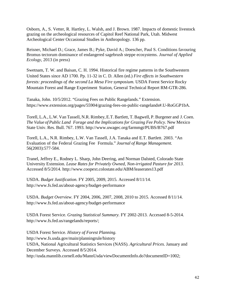Osborn, A., S. Vetter, R. Hartley, L. Walsh, and J. Brown. 1987. Impacts of domestic livestock grazing on the archeological resources of Capitol Reef National Park, Utah. Midwest Archeological Center Occasional Studies in Anthropology. 136 pp.

Reisner, Michael D.; Grace, James B.; Pyke, David A.; Doescher, Paul S. Conditions favouring Bromus tectorum dominance of endangered sagebrush steppe ecosystems. *Journal of Applied Ecology*, 2013 (in press)

Swetnam, T. W. and Baisan, C. H. 1994. Historical fire regime patterns in the Southwestern United States since AD 1700. Pp. 11-32 in C. D. Allen (ed.) *Fire effects in Southwestern forests: proceedings of the second La Mesa Fire symposium.* USDA Forest Service Rocky Mountain Forest and Range Experiment Station, General Technical Report RM-GTR-286.

Tanaka, John. 10/5/2012. "Grazing Fees on Public Rangelands." Extension. [https://www.extension.org/pages/55904/grazing-fees-on-public-rangelands#.U-RoGGP1bA.](https://www.extension.org/pages/55904/grazing-fees-on-public-rangelands#.U-RoGGP1bA)

Torell, L.A., L.W. Van Tassell, N.R. Rimbey, E.T. Bartlett, T. Bagwell, P. Burgener and J. Coen. *The Value of Public Land Forage and the Implications for Grazing Fee Policy*. New Mexico State Univ. Res. Bull. 767. 1993.<http://www.uwagec.org/farmmgt/PUBS/B767.pdf>

Torell, L.A., N.R. Rimbey, L.W. Van Tassell, J.A. Tanaka and E.T. Bartlett. 2003. "An Evaluation of the Federal Grazing Fee Formula." *Journal of Range Management.* 56(2003):577-584.

Tranel, Jeffrey E., Rodney L. Sharp, John Deering, and Norman Dalsted, Colorado State University Extension. *Lease Rates for Privately Owned, Non-irrigated Pasture for 2013.*  Accessed 8/5/2014.<http://www.coopext.colostate.edu/ABM/leaserates13.pdf>

USDA. *Budget Justification.* FY 2005, 2009, 2015*.* Accessed 8/11/14. <http://www.fs.fed.us/about-agency/budget-performance>

USDA. *Budget Overview.* FY 2004, 2006, 2007, 2008, 2010 to 2015. Accessed 8/11/14. <http://www.fs.fed.us/about-agency/budget-performance>

USDA Forest Service. *Grazing Statistical Summary.* FY 2002-2013. Accessed 8-5-2014. [http://www.fs.fed.us/rangelands/reports/;](http://www.fs.fed.us/rangelands/reports/)

USDA Forest Service. *History of Forest Planning.* http://www.fs.usda.gov/main/planningrule/history USDA, National Agricultural Statistics Services (NASS). *Agricultural Prices.* January and December Surveys. Accessed 8/5/2014*.* [http://usda.mannlib.cornell.edu/MannUsda/viewDocumentInfo.do?documentID=1002;](http://usda.mannlib.cornell.edu/MannUsda/viewDocumentInfo.do?documentID=1002)